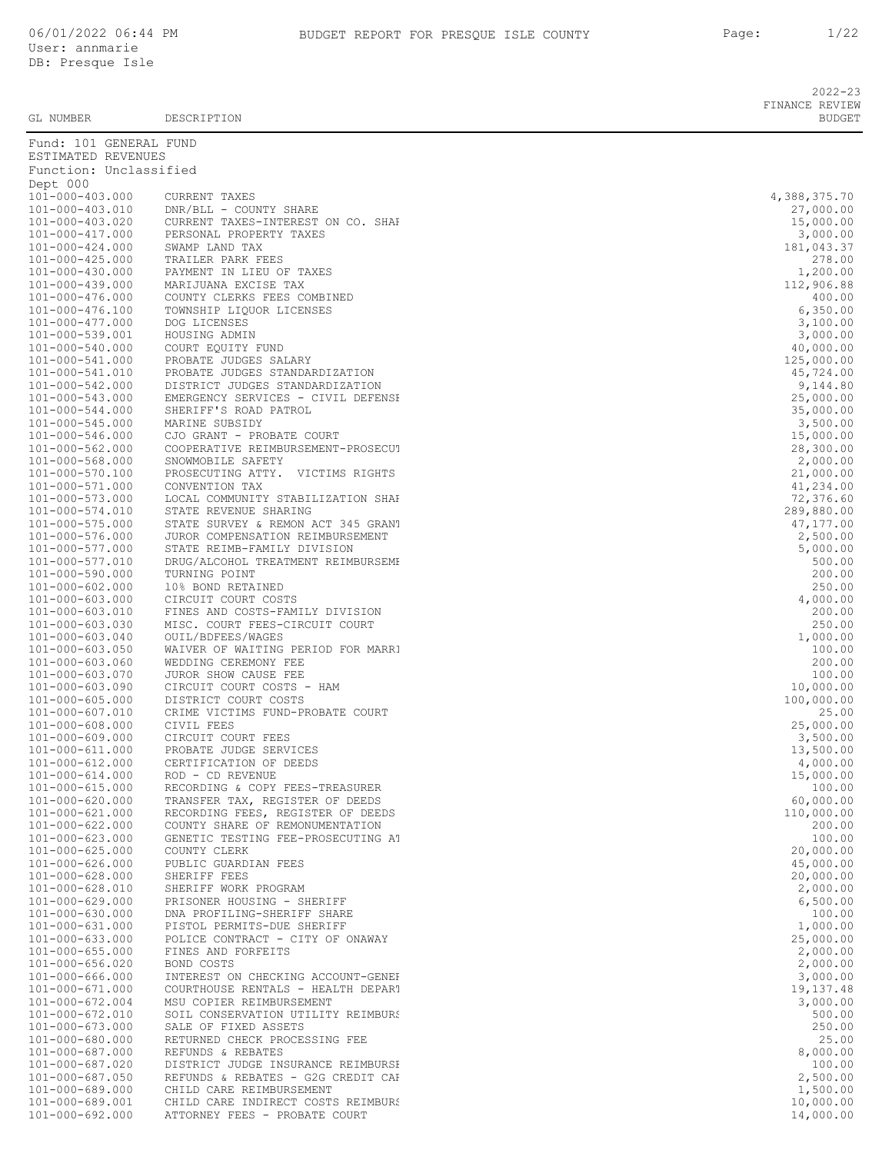2022-23 FINANCE REVIEW<br>BUDGET

| GL NUMBER                                      | DESCRIPTION                                                | <b>BUDGET</b>          |
|------------------------------------------------|------------------------------------------------------------|------------------------|
| Fund: 101 GENERAL FUND                         |                                                            |                        |
| ESTIMATED REVENUES                             |                                                            |                        |
| Function: Unclassified                         |                                                            |                        |
| Dept 000                                       |                                                            |                        |
| 101-000-403.000                                | CURRENT TAXES                                              | 4,388,375.70           |
| 101-000-403.010                                | DNR/BLL - COUNTY SHARE                                     | 27,000.00              |
| 101-000-403.020                                | CURRENT TAXES-INTEREST ON CO. SHAP                         | 15,000.00              |
| 101-000-417.000                                | PERSONAL PROPERTY TAXES                                    | 3,000.00               |
| $101 - 000 - 424.000$<br>$101 - 000 - 425.000$ | SWAMP LAND TAX<br>TRAILER PARK FEES                        | 181,043.37<br>278.00   |
| 101-000-430.000                                | PAYMENT IN LIEU OF TAXES                                   | 1,200.00               |
| 101-000-439.000                                | MARIJUANA EXCISE TAX                                       | 112,906.88             |
| 101-000-476.000                                | COUNTY CLERKS FEES COMBINED                                | 400.00                 |
| 101-000-476.100                                | TOWNSHIP LIQUOR LICENSES                                   | 6,350.00               |
| 101-000-477.000                                | DOG LICENSES                                               | 3,100.00               |
| 101-000-539.001                                | HOUSING ADMIN                                              | 3,000.00               |
| 101-000-540.000                                | COURT EQUITY FUND                                          | 40,000.00              |
| 101-000-541.000                                | PROBATE JUDGES SALARY                                      | 125,000.00             |
| 101-000-541.010                                | PROBATE JUDGES STANDARDIZATION                             | 45,724.00              |
| 101-000-542.000                                | DISTRICT JUDGES STANDARDIZATION                            | 9,144.80               |
| 101-000-543.000                                | EMERGENCY SERVICES - CIVIL DEFENSE                         | 25,000.00              |
| 101-000-544.000                                | SHERIFF'S ROAD PATROL                                      | 35,000.00              |
| 101-000-545.000                                | MARINE SUBSIDY                                             | 3,500.00               |
| 101-000-546.000                                | CJO GRANT - PROBATE COURT                                  | 15,000.00              |
| 101-000-562.000                                | COOPERATIVE REIMBURSEMENT-PROSECUT                         | 28,300.00              |
| $101 - 000 - 568.000$<br>101-000-570.100       | SNOWMOBILE SAFETY<br>PROSECUTING ATTY. VICTIMS RIGHTS      | 2,000.00<br>21,000.00  |
| 101-000-571.000                                | CONVENTION TAX                                             | 41,234.00              |
| $101 - 000 - 573.000$                          | LOCAL COMMUNITY STABILIZATION SHAF                         | 72,376.60              |
| 101-000-574.010                                | STATE REVENUE SHARING                                      | 289,880.00             |
| 101-000-575.000                                | STATE SURVEY & REMON ACT 345 GRANT                         | 47, 177.00             |
| 101-000-576.000                                | JUROR COMPENSATION REIMBURSEMENT                           | 2,500.00               |
| 101-000-577.000                                | STATE REIMB-FAMILY DIVISION                                | 5,000.00               |
| 101-000-577.010                                | DRUG/ALCOHOL TREATMENT REIMBURSEME                         | 500.00                 |
| 101-000-590.000                                | TURNING POINT                                              | 200.00                 |
| $101 - 000 - 602.000$                          | 10% BOND RETAINED                                          | 250.00                 |
| $101 - 000 - 603.000$                          | CIRCUIT COURT COSTS                                        | 4,000.00               |
| 101-000-603.010                                | FINES AND COSTS-FAMILY DIVISION                            | 200.00                 |
| $101 - 000 - 603.030$                          | MISC. COURT FEES-CIRCUIT COURT                             | 250.00                 |
| $101 - 000 - 603.040$                          | OUIL/BDFEES/WAGES                                          | 1,000.00               |
| $101 - 000 - 603.050$<br>101-000-603.060       | WAIVER OF WAITING PERIOD FOR MARRI<br>WEDDING CEREMONY FEE | 100.00<br>200.00       |
| 101-000-603.070                                | JUROR SHOW CAUSE FEE                                       | 100.00                 |
| $101 - 000 - 603.090$                          | CIRCUIT COURT COSTS - HAM                                  | 10,000.00              |
| $101 - 000 - 605.000$                          | DISTRICT COURT COSTS                                       | 100,000.00             |
| 101-000-607.010                                | CRIME VICTIMS FUND-PROBATE COURT                           | 25.00                  |
| $101 - 000 - 608.000$                          | CIVIL FEES                                                 | 25,000.00              |
| $101 - 000 - 609.000$                          | CIRCUIT COURT FEES                                         | 3,500.00               |
| 101-000-611.000                                | PROBATE JUDGE SERVICES                                     | 13,500.00              |
| 101-000-612.000                                | CERTIFICATION OF DEEDS                                     | 4,000.00               |
| $101 - 000 - 614.000$                          | $ROD - CD REVENUE$                                         | 15,000.00              |
| 101-000-615.000                                | RECORDING & COPY FEES-TREASURER                            | 100.00                 |
| 101-000-620.000                                | TRANSFER TAX, REGISTER OF DEEDS                            | 60,000.00              |
| 101-000-621.000                                | RECORDING FEES, REGISTER OF DEEDS                          | 110,000.00             |
| $101 - 000 - 622.000$                          | COUNTY SHARE OF REMONUMENTATION                            | 200.00                 |
| 101-000-623.000                                | GENETIC TESTING FEE-PROSECUTING AT                         | 100.00                 |
| $101 - 000 - 625.000$                          | COUNTY CLERK                                               | 20,000.00              |
| $101 - 000 - 626.000$<br>$101 - 000 - 628.000$ | PUBLIC GUARDIAN FEES<br>SHERIFF FEES                       | 45,000.00<br>20,000.00 |
| 101-000-628.010                                | SHERIFF WORK PROGRAM                                       | 2,000.00               |
| 101-000-629.000                                | PRISONER HOUSING - SHERIFF                                 | 6,500.00               |
| 101-000-630.000                                | DNA PROFILING-SHERIFF SHARE                                | 100.00                 |
| 101-000-631.000                                | PISTOL PERMITS-DUE SHERIFF                                 | 1,000.00               |
| $101 - 000 - 633.000$                          | POLICE CONTRACT - CITY OF ONAWAY                           | 25,000.00              |
| $101 - 000 - 655.000$                          | FINES AND FORFEITS                                         | 2,000.00               |
| $101 - 000 - 656.020$                          | BOND COSTS                                                 | 2,000.00               |
| $101 - 000 - 666.000$                          | INTEREST ON CHECKING ACCOUNT-GENEI                         | 3,000.00               |
| 101-000-671.000                                | COURTHOUSE RENTALS - HEALTH DEPART                         | 19,137.48              |
| 101-000-672.004                                | MSU COPIER REIMBURSEMENT                                   | 3,000.00               |

| 101-000-417.000                                | PERSONAL PROPERTY TAXES                                            | --,<br>3,000.00        |
|------------------------------------------------|--------------------------------------------------------------------|------------------------|
| 101-000-424.000                                | SWAMP LAND TAX                                                     | 181,043.37             |
| $101 - 000 - 425.000$                          | TRAILER PARK FEES                                                  | 278.00                 |
| 101-000-430.000                                | PAYMENT IN LIEU OF TAXES                                           | 1,200.00               |
| 101-000-439.000                                | MARIJUANA EXCISE TAX                                               | 112,906.88             |
| 101-000-476.000                                | COUNTY CLERKS FEES COMBINED                                        | 400.00                 |
| 101-000-476.100<br>101-000-477.000             | TOWNSHIP LIQUOR LICENSES<br>DOG LICENSES                           | 6,350.00<br>3,100.00   |
| 101-000-539.001                                | HOUSING ADMIN                                                      | 3,000.00               |
| 101-000-540.000                                | COURT EQUITY FUND                                                  | 40,000.00              |
| 101-000-541.000                                | PROBATE JUDGES SALARY                                              | 125,000.00             |
| 101-000-541.010                                | PROBATE JUDGES STANDARDIZATION                                     | 45,724.00              |
| 101-000-542.000                                | DISTRICT JUDGES STANDARDIZATION                                    | 9,144.80               |
| 101-000-543.000                                | EMERGENCY SERVICES - CIVIL DEFENSE                                 | 25,000.00              |
| 101-000-544.000                                | SHERIFF'S ROAD PATROL                                              | 35,000.00              |
| 101-000-545.000                                | MARINE SUBSIDY                                                     | 3,500.00               |
| 101-000-546.000<br>101-000-562.000             | CJO GRANT - PROBATE COURT<br>COOPERATIVE REIMBURSEMENT-PROSECUT    | 15,000.00<br>28,300.00 |
| 101-000-568.000                                | SNOWMOBILE SAFETY                                                  | 2,000.00               |
| 101-000-570.100                                | PROSECUTING ATTY. VICTIMS RIGHTS                                   | 21,000.00              |
| 101-000-571.000                                | CONVENTION TAX                                                     | 41,234.00              |
| 101-000-573.000                                | LOCAL COMMUNITY STABILIZATION SHAF                                 | 72,376.60              |
| 101-000-574.010                                | STATE REVENUE SHARING                                              | 289,880.00             |
| 101-000-575.000                                | STATE SURVEY & REMON ACT 345 GRANT                                 | 47,177.00              |
| 101-000-576.000                                | JUROR COMPENSATION REIMBURSEMENT                                   | 2,500.00               |
| 101-000-577.000<br>101-000-577.010             | STATE REIMB-FAMILY DIVISION                                        | 5,000.00               |
| 101-000-590.000                                | DRUG/ALCOHOL TREATMENT REIMBURSEME<br>TURNING POINT                | 500.00<br>200.00       |
| 101-000-602.000                                | 10% BOND RETAINED                                                  | 250.00                 |
| $101 - 000 - 603.000$                          | CIRCUIT COURT COSTS                                                | 4,000.00               |
| 101-000-603.010                                | FINES AND COSTS-FAMILY DIVISION                                    | 200.00                 |
| 101-000-603.030                                | MISC. COURT FEES-CIRCUIT COURT                                     | 250.00                 |
| 101-000-603.040                                | OUIL/BDFEES/WAGES                                                  | 1,000.00               |
| $101 - 000 - 603.050$                          | WAIVER OF WAITING PERIOD FOR MARRI                                 | 100.00                 |
| 101-000-603.060                                | WEDDING CEREMONY FEE                                               | 200.00                 |
| 101-000-603.070<br>$101 - 000 - 603.090$       | JUROR SHOW CAUSE FEE<br>CIRCUIT COURT COSTS - HAM                  | 100.00<br>10,000.00    |
| $101 - 000 - 605.000$                          | DISTRICT COURT COSTS                                               | 100,000.00             |
| 101-000-607.010                                | CRIME VICTIMS FUND-PROBATE COURT                                   | 25.00                  |
| 101-000-608.000                                | CIVIL FEES                                                         | 25,000.00              |
| 101-000-609.000                                | CIRCUIT COURT FEES                                                 | 3,500.00               |
| 101-000-611.000                                | PROBATE JUDGE SERVICES                                             | 13,500.00              |
| 101-000-612.000                                | CERTIFICATION OF DEEDS                                             | 4,000.00               |
| 101-000-614.000                                | ROD - CD REVENUE                                                   | 15,000.00              |
| $101 - 000 - 615.000$<br>$101 - 000 - 620.000$ | RECORDING & COPY FEES-TREASURER<br>TRANSFER TAX, REGISTER OF DEEDS | 100.00<br>60,000.00    |
| 101-000-621.000                                | RECORDING FEES, REGISTER OF DEEDS                                  | 110,000.00             |
| 101-000-622.000                                | COUNTY SHARE OF REMONUMENTATION                                    | 200.00                 |
| 101-000-623.000                                | GENETIC TESTING FEE-PROSECUTING AT                                 | 100.00                 |
| $101 - 000 - 625.000$                          | COUNTY CLERK                                                       | 20,000.00              |
| $101 - 000 - 626.000$                          | PUBLIC GUARDIAN FEES                                               | 45,000.00              |
| 101-000-628.000                                | SHERIFF FEES                                                       | 20,000.00              |
| $101 - 000 - 628.010$                          | SHERIFF WORK PROGRAM                                               | 2,000.00               |
| $101 - 000 - 629.000$                          | PRISONER HOUSING - SHERIFF                                         | 6,500.00               |
| 101-000-630.000<br>101-000-631.000             | DNA PROFILING-SHERIFF SHARE<br>PISTOL PERMITS-DUE SHERIFF          | 100.00<br>1,000.00     |
| $101 - 000 - 633.000$                          | POLICE CONTRACT - CITY OF ONAWAY                                   | 25,000.00              |
| $101 - 000 - 655.000$                          | FINES AND FORFEITS                                                 | 2,000.00               |
| $101 - 000 - 656.020$                          | BOND COSTS                                                         | 2,000.00               |
| $101 - 000 - 666.000$                          | INTEREST ON CHECKING ACCOUNT-GENEI                                 | 3,000.00               |
| 101-000-671.000                                | COURTHOUSE RENTALS - HEALTH DEPART                                 | 19, 137.48             |
| $101 - 000 - 672.004$                          | MSU COPIER REIMBURSEMENT                                           | 3,000.00               |
| 101-000-672.010                                | SOIL CONSERVATION UTILITY REIMBURS                                 | 500.00                 |
| 101-000-673.000<br>101-000-680.000             | SALE OF FIXED ASSETS<br>RETURNED CHECK PROCESSING FEE              | 250.00<br>25.00        |
| 101-000-687.000                                | REFUNDS & REBATES                                                  | 8,000.00               |
| 101-000-687.020                                | DISTRICT JUDGE INSURANCE REIMBURSH                                 | 100.00                 |
| 101-000-687.050                                | REFUNDS & REBATES - G2G CREDIT CAP                                 | 2,500.00               |
| 101-000-689.000                                | CHILD CARE REIMBURSEMENT                                           | 1,500.00               |
| 101-000-689.001                                | CHILD CARE INDIRECT COSTS REIMBURS                                 | 10,000.00              |
| 101-000-692.000                                | ATTORNEY FEES - PROBATE COURT                                      | 14,000.00              |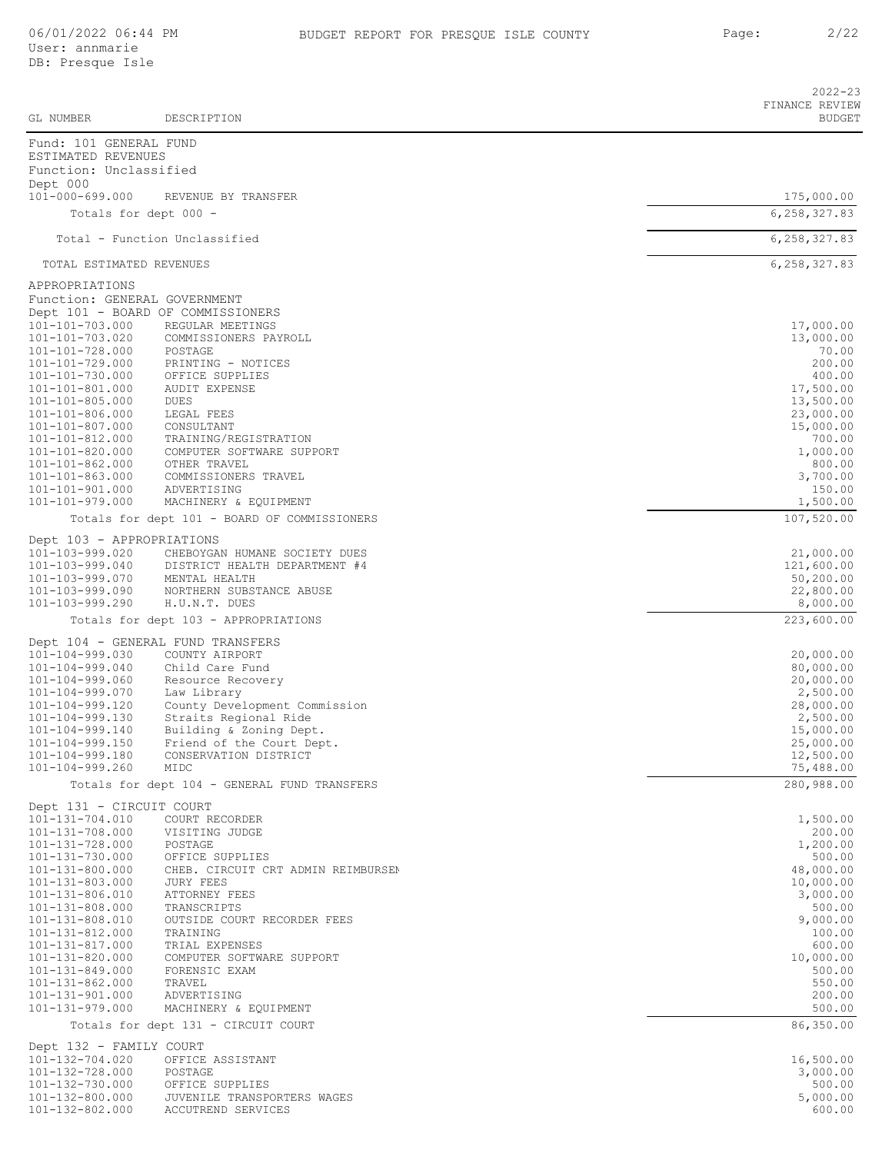|                                                                        |                                                                | $2022 - 23$<br>FINANCE REVIEW |
|------------------------------------------------------------------------|----------------------------------------------------------------|-------------------------------|
| GL NUMBER                                                              | DESCRIPTION                                                    | <b>BUDGET</b>                 |
| Fund: 101 GENERAL FUND<br>ESTIMATED REVENUES<br>Function: Unclassified |                                                                |                               |
| Dept 000                                                               |                                                                |                               |
| 101-000-699.000<br>Totals for dept 000 -                               | REVENUE BY TRANSFER                                            | 175,000.00<br>6, 258, 327.83  |
|                                                                        | Total - Function Unclassified                                  | 6,258,327.83                  |
| TOTAL ESTIMATED REVENUES                                               |                                                                | 6, 258, 327.83                |
| APPROPRIATIONS                                                         |                                                                |                               |
| Function: GENERAL GOVERNMENT                                           |                                                                |                               |
| 101-101-703.000                                                        | Dept 101 - BOARD OF COMMISSIONERS<br>REGULAR MEETINGS          | 17,000.00                     |
| 101-101-703.020                                                        | COMMISSIONERS PAYROLL                                          | 13,000.00                     |
| 101-101-728.000<br>101-101-729.000                                     | POSTAGE<br>PRINTING - NOTICES                                  | 70.00<br>200.00               |
| 101-101-730.000                                                        | OFFICE SUPPLIES                                                | 400.00                        |
| 101-101-801.000<br>$101 - 101 - 805.000$                               | <b>AUDIT EXPENSE</b><br><b>DUES</b>                            | 17,500.00<br>13,500.00        |
| 101-101-806.000                                                        | LEGAL FEES                                                     | 23,000.00                     |
| 101-101-807.000<br>$101 - 101 - 812.000$                               | CONSULTANT<br>TRAINING/REGISTRATION                            | 15,000.00<br>700.00           |
| 101-101-820.000<br>$101 - 101 - 862.000$                               | COMPUTER SOFTWARE SUPPORT                                      | 1,000.00                      |
| $101 - 101 - 863.000$                                                  | OTHER TRAVEL<br>COMMISSIONERS TRAVEL                           | 800.00<br>3,700.00            |
| $101 - 101 - 901.000$<br>$101 - 101 - 979.000$                         | ADVERTISING<br>MACHINERY & EQUIPMENT                           | 150.00<br>1,500.00            |
|                                                                        | Totals for dept 101 - BOARD OF COMMISSIONERS                   | 107,520.00                    |
| Dept 103 - APPROPRIATIONS                                              |                                                                |                               |
| 101-103-999.020<br>101-103-999.040                                     | CHEBOYGAN HUMANE SOCIETY DUES<br>DISTRICT HEALTH DEPARTMENT #4 | 21,000.00<br>121,600.00       |
| 101-103-999.070                                                        | MENTAL HEALTH                                                  | 50,200.00                     |
| 101-103-999.090<br>101-103-999.290                                     | NORTHERN SUBSTANCE ABUSE<br>H.U.N.T. DUES                      | 22,800.00<br>8,000.00         |
|                                                                        | Totals for dept 103 - APPROPRIATIONS                           | 223,600.00                    |
|                                                                        | Dept 104 - GENERAL FUND TRANSFERS                              |                               |
| 101-104-999.030<br>$101 - 104 - 999.040$                               | COUNTY AIRPORT<br>Child Care Fund                              | 20,000.00<br>80,000.00        |
| 101-104-999.060                                                        | Resource Recovery                                              | 20,000.00                     |
| 101-104-999.070<br>101-104-999.120                                     | Law Library<br>County Development Commission                   | 2,500.00<br>28,000.00         |
| 101-104-999.130                                                        | Straits Regional Ride                                          | 2,500.00                      |
| 101-104-999.140<br>$101 - 104 - 999.150$                               | Building & Zoning Dept.<br>Friend of the Court Dept.           | 15,000.00<br>25,000.00        |
| 101-104-999.180                                                        | CONSERVATION DISTRICT                                          | 12,500.00                     |
| 101-104-999.260                                                        | MIDC<br>Totals for dept 104 - GENERAL FUND TRANSFERS           | 75,488.00<br>280,988.00       |
| Dept 131 - CIRCUIT COURT                                               |                                                                |                               |
| 101-131-704.010                                                        | COURT RECORDER                                                 | 1,500.00                      |
| 101-131-708.000<br>101-131-728.000                                     | VISITING JUDGE<br>POSTAGE                                      | 200.00<br>1,200.00            |
| 101-131-730.000                                                        | OFFICE SUPPLIES                                                | 500.00                        |
| 101-131-800.000<br>101-131-803.000                                     | CHEB. CIRCUIT CRT ADMIN REIMBURSEN<br>JURY FEES                | 48,000.00<br>10,000.00        |
| 101-131-806.010                                                        | ATTORNEY FEES                                                  | 3,000.00                      |
| 101-131-808.000<br>101-131-808.010                                     | TRANSCRIPTS<br>OUTSIDE COURT RECORDER FEES                     | 500.00<br>9,000.00            |
| 101-131-812.000                                                        | TRAINING                                                       | 100.00                        |
| $101 - 131 - 817.000$<br>101-131-820.000                               | TRIAL EXPENSES<br>COMPUTER SOFTWARE SUPPORT                    | 600.00<br>10,000.00           |
| 101-131-849.000                                                        | FORENSIC EXAM                                                  | 500.00                        |
| $101 - 131 - 862.000$<br>101-131-901.000                               | TRAVEL<br>ADVERTISING                                          | 550.00<br>200.00              |
| 101-131-979.000                                                        | MACHINERY & EQUIPMENT                                          | 500.00                        |
|                                                                        | Totals for dept 131 - CIRCUIT COURT                            | 86,350.00                     |
| Dept 132 - FAMILY COURT<br>101-132-704.020                             | OFFICE ASSISTANT                                               | 16,500.00                     |
| 101-132-728.000                                                        | POSTAGE                                                        | 3,000.00                      |
| 101-132-730.000<br>101-132-800.000                                     | OFFICE SUPPLIES<br>JUVENILE TRANSPORTERS WAGES                 | 500.00<br>5,000.00            |
| 101-132-802.000                                                        | ACCUTREND SERVICES                                             | 600.00                        |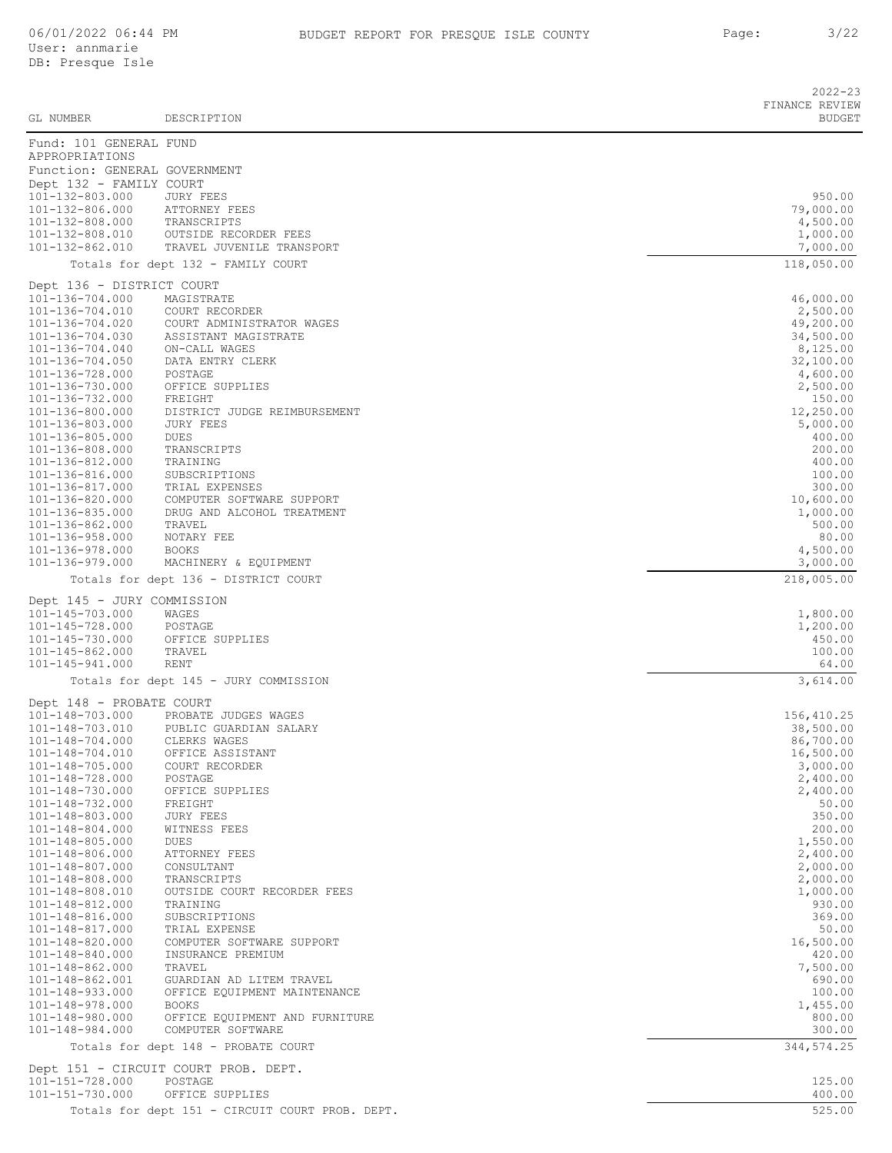|                                                         |                                                     | $2022 - 23$<br>FINANCE REVIEW |
|---------------------------------------------------------|-----------------------------------------------------|-------------------------------|
| GL NUMBER                                               | DESCRIPTION                                         | <b>BUDGET</b>                 |
| Fund: 101 GENERAL FUND                                  |                                                     |                               |
| APPROPRIATIONS                                          |                                                     |                               |
| Function: GENERAL GOVERNMENT<br>Dept 132 - FAMILY COURT |                                                     |                               |
| 101-132-803.000                                         | JURY FEES                                           | 950.00                        |
| 101-132-806.000                                         | ATTORNEY FEES                                       | 79,000.00                     |
| 101-132-808.000<br>101-132-808.010                      | TRANSCRIPTS<br>OUTSIDE RECORDER FEES                | 4,500.00<br>1,000.00          |
| 101-132-862.010                                         | TRAVEL JUVENILE TRANSPORT                           | 7,000.00                      |
|                                                         | Totals for dept 132 - FAMILY COURT                  | 118,050.00                    |
| Dept 136 - DISTRICT COURT                               |                                                     |                               |
| 101-136-704.000                                         | MAGISTRATE                                          | 46,000.00                     |
| 101-136-704.010<br>101-136-704.020                      | COURT RECORDER<br>COURT ADMINISTRATOR WAGES         | 2,500.00<br>49,200.00         |
| 101-136-704.030                                         | ASSISTANT MAGISTRATE                                | 34,500.00                     |
| 101-136-704.040                                         | ON-CALL WAGES                                       | 8,125.00                      |
| 101-136-704.050<br>101-136-728.000                      | DATA ENTRY CLERK<br>POSTAGE                         | 32,100.00<br>4,600.00         |
| 101-136-730.000                                         | OFFICE SUPPLIES                                     | 2,500.00                      |
| 101-136-732.000                                         | FREIGHT                                             | 150.00                        |
| 101-136-800.000<br>101-136-803.000                      | DISTRICT JUDGE REIMBURSEMENT<br><b>JURY FEES</b>    | 12,250.00<br>5,000.00         |
| 101-136-805.000                                         | DUES                                                | 400.00                        |
| 101-136-808.000                                         | TRANSCRIPTS                                         | 200.00                        |
| 101-136-812.000<br>101-136-816.000                      | TRAINING<br>SUBSCRIPTIONS                           | 400.00<br>100.00              |
| 101-136-817.000                                         | TRIAL EXPENSES                                      | 300.00                        |
| 101-136-820.000                                         | COMPUTER SOFTWARE SUPPORT                           | 10,600.00                     |
| 101-136-835.000                                         | DRUG AND ALCOHOL TREATMENT                          | 1,000.00                      |
| 101-136-862.000<br>101-136-958.000                      | TRAVEL<br>NOTARY FEE                                | 500.00<br>80.00               |
| 101-136-978.000                                         | <b>BOOKS</b>                                        | 4,500.00                      |
| 101-136-979.000                                         | MACHINERY & EQUIPMENT                               | 3,000.00                      |
|                                                         | Totals for dept 136 - DISTRICT COURT                | 218,005.00                    |
| Dept 145 - JURY COMMISSION                              |                                                     |                               |
| 101-145-703.000<br>101-145-728.000                      | WAGES<br>POSTAGE                                    | 1,800.00<br>1,200.00          |
| 101-145-730.000                                         | OFFICE SUPPLIES                                     | 450.00                        |
| $101 - 145 - 862.000$                                   | TRAVEL                                              | 100.00                        |
| 101-145-941.000                                         | RENT                                                | 64.00<br>3,614.00             |
|                                                         | Totals for dept 145 - JURY COMMISSION               |                               |
| Dept 148 - PROBATE COURT<br>101-148-703.000             | PROBATE JUDGES WAGES                                | 156,410.25                    |
| 101-148-703.010                                         | PUBLIC GUARDIAN SALARY                              | 38,500.00                     |
| 101-148-704.000                                         | CLERKS WAGES                                        | 86,700.00                     |
| 101-148-704.010<br>101-148-705.000                      | OFFICE ASSISTANT<br>COURT RECORDER                  | 16,500.00<br>3,000.00         |
| 101-148-728.000                                         | POSTAGE                                             | 2,400.00                      |
| 101-148-730.000                                         | OFFICE SUPPLIES                                     | 2,400.00                      |
| 101-148-732.000                                         | FREIGHT                                             | 50.00                         |
| 101-148-803.000<br>101-148-804.000                      | <b>JURY FEES</b><br>WITNESS FEES                    | 350.00<br>200.00              |
| 101-148-805.000                                         | DUES                                                | 1,550.00                      |
| 101-148-806.000                                         | ATTORNEY FEES                                       | 2,400.00                      |
| 101-148-807.000<br>101-148-808.000                      | CONSULTANT<br>TRANSCRIPTS                           | 2,000.00<br>2,000.00          |
| 101-148-808.010                                         | OUTSIDE COURT RECORDER FEES                         | 1,000.00                      |
| 101-148-812.000                                         | TRAINING                                            | 930.00                        |
| 101-148-816.000<br>101-148-817.000                      | SUBSCRIPTIONS<br>TRIAL EXPENSE                      | 369.00<br>50.00               |
| 101-148-820.000                                         | COMPUTER SOFTWARE SUPPORT                           | 16,500.00                     |
| 101-148-840.000                                         | INSURANCE PREMIUM                                   | 420.00                        |
| 101-148-862.000<br>101-148-862.001                      | TRAVEL<br>GUARDIAN AD LITEM TRAVEL                  | 7,500.00<br>690.00            |
| 101-148-933.000                                         | OFFICE EQUIPMENT MAINTENANCE                        | 100.00                        |
| 101-148-978.000                                         | <b>BOOKS</b>                                        | 1,455.00                      |
| 101-148-980.000<br>101-148-984.000                      | OFFICE EQUIPMENT AND FURNITURE<br>COMPUTER SOFTWARE | 800.00<br>300.00              |
|                                                         | Totals for dept 148 - PROBATE COURT                 | 344, 574.25                   |
|                                                         | Dept 151 - CIRCUIT COURT PROB. DEPT.                |                               |
| 101-151-728.000                                         | POSTAGE                                             | 125.00                        |
| 101-151-730.000                                         | OFFICE SUPPLIES                                     | 400.00                        |
|                                                         | Totals for dept 151 - CIRCUIT COURT PROB. DEPT.     | 525.00                        |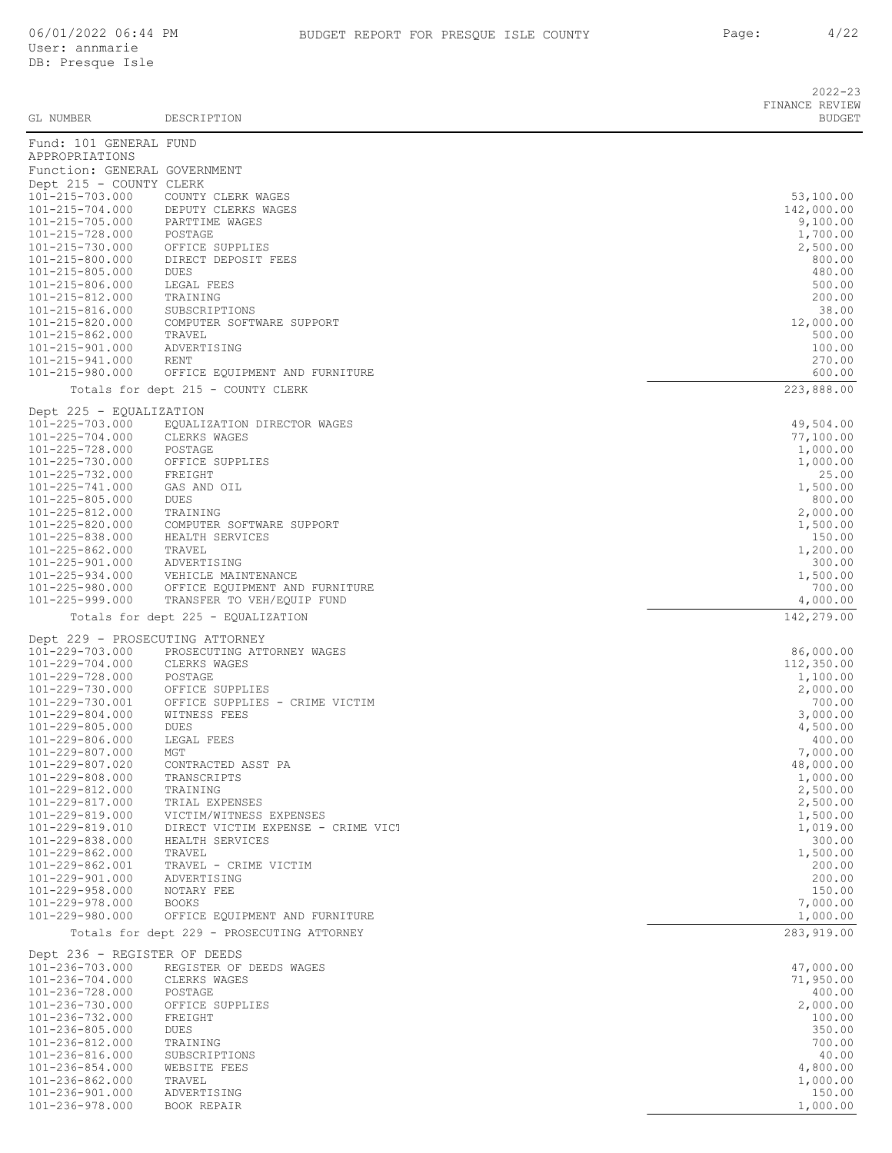| GL NUMBER                                               | DESCRIPTION                                                   | $2022 - 23$<br>FINANCE REVIEW<br><b>BUDGET</b> |
|---------------------------------------------------------|---------------------------------------------------------------|------------------------------------------------|
| Fund: 101 GENERAL FUND                                  |                                                               |                                                |
| APPROPRIATIONS                                          |                                                               |                                                |
| Function: GENERAL GOVERNMENT<br>Dept 215 - COUNTY CLERK |                                                               |                                                |
| 101-215-703.000                                         | COUNTY CLERK WAGES                                            | 53,100.00                                      |
| 101-215-704.000                                         | DEPUTY CLERKS WAGES                                           | 142,000.00                                     |
| 101-215-705.000                                         | PARTTIME WAGES                                                | 9,100.00                                       |
| 101-215-728.000                                         | POSTAGE                                                       | 1,700.00                                       |
| 101-215-730.000<br>101-215-800.000                      | OFFICE SUPPLIES<br>DIRECT DEPOSIT FEES                        | 2,500.00<br>800.00                             |
| 101-215-805.000                                         | DUES                                                          | 480.00                                         |
| 101-215-806.000                                         | LEGAL FEES                                                    | 500.00                                         |
| 101-215-812.000                                         | TRAINING                                                      | 200.00                                         |
| 101-215-816.000<br>101-215-820.000                      | SUBSCRIPTIONS<br>COMPUTER SOFTWARE SUPPORT                    | 38.00<br>12,000.00                             |
| 101-215-862.000                                         | TRAVEL                                                        | 500.00                                         |
| 101-215-901.000                                         | ADVERTISING                                                   | 100.00                                         |
| 101-215-941.000                                         | RENT                                                          | 270.00                                         |
| 101-215-980.000                                         | OFFICE EQUIPMENT AND FURNITURE                                | 600.00                                         |
|                                                         | Totals for dept 215 - COUNTY CLERK                            | 223,888.00                                     |
| Dept 225 - EQUALIZATION                                 |                                                               |                                                |
| 101-225-703.000                                         | EQUALIZATION DIRECTOR WAGES                                   | 49,504.00                                      |
| 101-225-704.000                                         | CLERKS WAGES                                                  | 77,100.00                                      |
| 101-225-728.000<br>101-225-730.000                      | POSTAGE<br>OFFICE SUPPLIES                                    | 1,000.00                                       |
| 101-225-732.000                                         | FREIGHT                                                       | 1,000.00<br>25.00                              |
| 101-225-741.000                                         | GAS AND OIL                                                   | 1,500.00                                       |
| 101-225-805.000                                         | DUES                                                          | 800.00                                         |
| 101-225-812.000                                         | TRAINING                                                      | 2,000.00                                       |
| 101-225-820.000                                         | COMPUTER SOFTWARE SUPPORT                                     | 1,500.00                                       |
| 101-225-838.000<br>101-225-862.000                      | HEALTH SERVICES<br>TRAVEL                                     | 150.00<br>1,200.00                             |
| 101-225-901.000                                         | ADVERTISING                                                   | 300.00                                         |
| 101-225-934.000                                         | VEHICLE MAINTENANCE                                           | 1,500.00                                       |
| 101-225-980.000                                         | OFFICE EQUIPMENT AND FURNITURE                                | 700.00                                         |
| 101-225-999.000                                         | TRANSFER TO VEH/EQUIP FUND                                    | 4,000.00                                       |
|                                                         | Totals for dept 225 - EQUALIZATION                            | 142,279.00                                     |
|                                                         | Dept 229 - PROSECUTING ATTORNEY                               |                                                |
| 101-229-703.000                                         | PROSECUTING ATTORNEY WAGES                                    | 86,000.00                                      |
| 101-229-704.000                                         | CLERKS WAGES                                                  | 112,350.00                                     |
| 101-229-728.000<br>101-229-730.000                      | POSTAGE<br>OFFICE SUPPLIES                                    | 1,100.00<br>2,000.00                           |
| 101-229-730.001                                         | OFFICE SUPPLIES - CRIME VICTIM                                | 700.00                                         |
| 101-229-804.000                                         | WITNESS FEES                                                  | 3,000.00                                       |
| 101-229-805.000                                         | <b>DUES</b>                                                   | 4,500.00                                       |
| 101-229-806.000                                         | LEGAL FEES<br>MGT                                             | 400.00                                         |
| 101-229-807.000<br>101-229-807.020                      | CONTRACTED ASST PA                                            | 7,000.00<br>48,000.00                          |
| 101-229-808.000                                         | TRANSCRIPTS                                                   | 1,000.00                                       |
| 101-229-812.000                                         | TRAINING                                                      | 2,500.00                                       |
| 101-229-817.000                                         | TRIAL EXPENSES                                                | 2,500.00                                       |
| 101-229-819.000<br>101-229-819.010                      | VICTIM/WITNESS EXPENSES<br>DIRECT VICTIM EXPENSE - CRIME VICT | 1,500.00<br>1,019.00                           |
| 101-229-838.000                                         | HEALTH SERVICES                                               | 300.00                                         |
| 101-229-862.000                                         | TRAVEL                                                        | 1,500.00                                       |
| 101-229-862.001                                         | TRAVEL - CRIME VICTIM                                         | 200.00                                         |
| 101-229-901.000                                         | ADVERTISING                                                   | 200.00                                         |
| 101-229-958.000                                         | NOTARY FEE                                                    | 150.00                                         |
| 101-229-978.000<br>101-229-980.000                      | <b>BOOKS</b><br>OFFICE EQUIPMENT AND FURNITURE                | 7,000.00<br>1,000.00                           |
|                                                         | Totals for dept 229 - PROSECUTING ATTORNEY                    | 283, 919.00                                    |
|                                                         |                                                               |                                                |
| Dept 236 - REGISTER OF DEEDS                            |                                                               |                                                |
| 101-236-703.000                                         | REGISTER OF DEEDS WAGES                                       | 47,000.00                                      |
| 101-236-704.000<br>101-236-728.000                      | CLERKS WAGES<br>POSTAGE                                       | 71,950.00<br>400.00                            |
| 101-236-730.000                                         | OFFICE SUPPLIES                                               | 2,000.00                                       |
| 101-236-732.000                                         | FREIGHT                                                       | 100.00                                         |
| 101-236-805.000                                         | DUES                                                          | 350.00                                         |
| 101-236-812.000                                         | TRAINING                                                      | 700.00                                         |
|                                                         | SUBSCRIPTIONS                                                 | 40.00                                          |
| 101-236-816.000                                         |                                                               |                                                |
| 101-236-854.000                                         | WEBSITE FEES                                                  | 4,800.00                                       |
| 101-236-862.000<br>101-236-901.000                      | TRAVEL<br>ADVERTISING                                         | 1,000.00<br>150.00                             |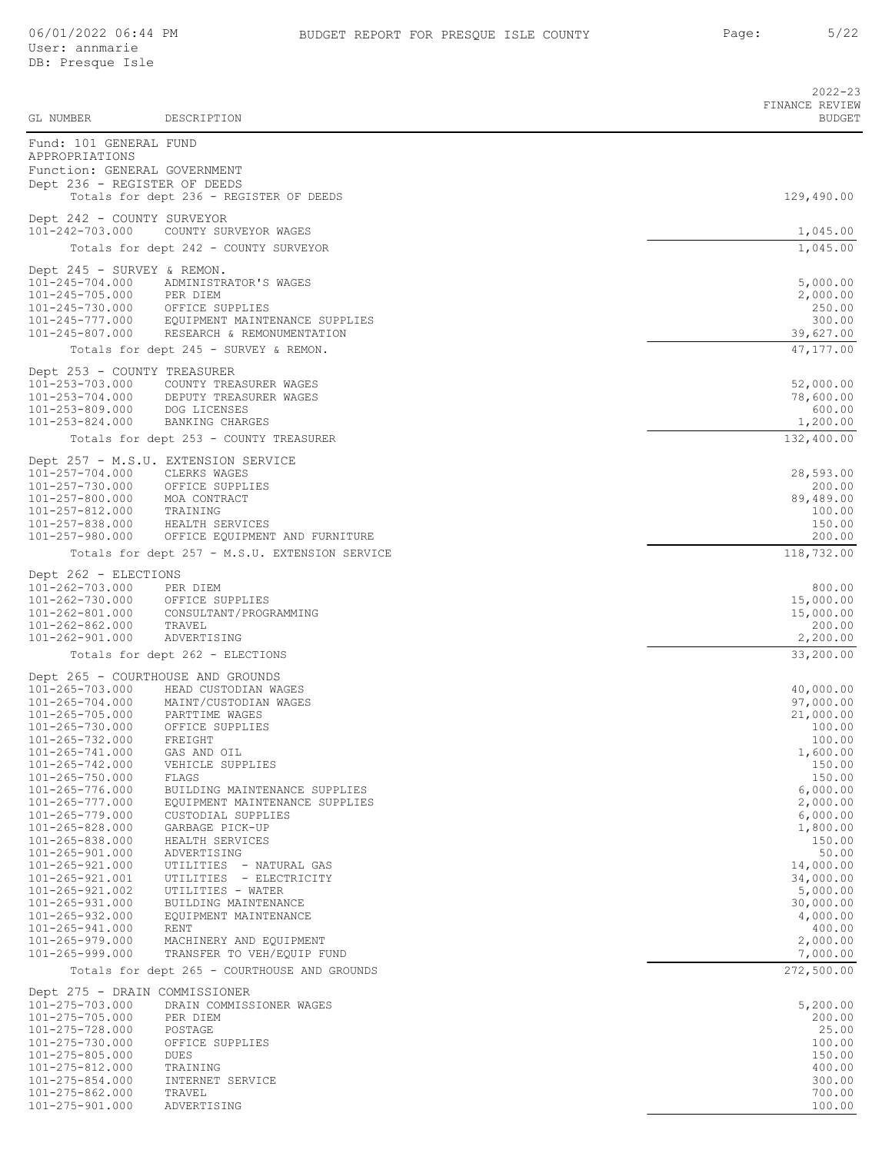| GL NUMBER                                      | DESCRIPTION                                                     | $2022 - 23$<br>FINANCE REVIEW<br><b>BUDGET</b> |
|------------------------------------------------|-----------------------------------------------------------------|------------------------------------------------|
| Fund: 101 GENERAL FUND<br>APPROPRIATIONS       |                                                                 |                                                |
| Function: GENERAL GOVERNMENT                   |                                                                 |                                                |
| Dept 236 - REGISTER OF DEEDS                   |                                                                 |                                                |
|                                                | Totals for dept 236 - REGISTER OF DEEDS                         | 129,490.00                                     |
| Dept 242 - COUNTY SURVEYOR                     |                                                                 |                                                |
| 101-242-703.000                                | COUNTY SURVEYOR WAGES                                           | 1,045.00                                       |
|                                                | Totals for dept 242 - COUNTY SURVEYOR                           | 1,045.00                                       |
| Dept 245 - SURVEY & REMON.                     |                                                                 |                                                |
| $101 - 245 - 704.000$<br>$101 - 245 - 705.000$ | ADMINISTRATOR'S WAGES<br>PER DIEM                               | 5,000.00<br>2,000.00                           |
| 101-245-730.000                                | OFFICE SUPPLIES                                                 | 250.00                                         |
| 101-245-777.000                                | EQUIPMENT MAINTENANCE SUPPLIES                                  | 300.00                                         |
| $101 - 245 - 807.000$                          | RESEARCH & REMONUMENTATION                                      | 39,627.00                                      |
|                                                | Totals for dept 245 - SURVEY & REMON.                           | 47,177.00                                      |
| Dept 253 - COUNTY TREASURER                    |                                                                 |                                                |
| 101-253-703.000<br>$101 - 253 - 704.000$       | COUNTY TREASURER WAGES<br>DEPUTY TREASURER WAGES                | 52,000.00<br>78,600.00                         |
| 101-253-809.000                                | DOG LICENSES                                                    | 600.00                                         |
| 101-253-824.000                                | BANKING CHARGES                                                 | 1,200.00                                       |
|                                                | Totals for dept 253 - COUNTY TREASURER                          | 132,400.00                                     |
|                                                | Dept 257 - M.S.U. EXTENSION SERVICE                             |                                                |
| 101-257-704.000<br>101-257-730.000             | CLERKS WAGES<br>OFFICE SUPPLIES                                 | 28,593.00<br>200.00                            |
| 101-257-800.000                                | MOA CONTRACT                                                    | 89,489.00                                      |
| 101-257-812.000<br>$101 - 257 - 838.000$       | TRAINING                                                        | 100.00<br>150.00                               |
| 101-257-980.000                                | HEALTH SERVICES<br>OFFICE EQUIPMENT AND FURNITURE               | 200.00                                         |
|                                                | Totals for dept 257 - M.S.U. EXTENSION SERVICE                  | 118,732.00                                     |
| Dept 262 - ELECTIONS                           |                                                                 |                                                |
| 101-262-703.000                                | PER DIEM                                                        | 800.00                                         |
| 101-262-730.000                                | OFFICE SUPPLIES                                                 | 15,000.00                                      |
| $101 - 262 - 801.000$<br>$101 - 262 - 862.000$ | CONSULTANT/PROGRAMMING<br>TRAVEL                                | 15,000.00<br>200.00                            |
| 101-262-901.000                                | ADVERTISING                                                     | 2,200.00                                       |
|                                                | Totals for dept 262 - ELECTIONS                                 | 33,200.00                                      |
|                                                | Dept 265 - COURTHOUSE AND GROUNDS                               |                                                |
| 101-265-703.000                                | HEAD CUSTODIAN WAGES                                            | 40,000.00                                      |
| 101-265-704.000<br>$101 - 265 - 705.000$       | MAINT/CUSTODIAN WAGES<br>PARTTIME WAGES                         | 97,000.00<br>21,000.00                         |
| 101-265-730.000                                | OFFICE SUPPLIES                                                 | 100.00                                         |
| 101-265-732.000                                | FREIGHT                                                         | 100.00                                         |
| $101 - 265 - 741.000$<br>101-265-742.000       | GAS AND OIL<br>VEHICLE SUPPLIES                                 | 1,600.00<br>150.00                             |
| 101-265-750.000                                | FLAGS                                                           | 150.00                                         |
| $101 - 265 - 776.000$<br>$101 - 265 - 777.000$ | BUILDING MAINTENANCE SUPPLIES<br>EQUIPMENT MAINTENANCE SUPPLIES | 6,000.00<br>2,000.00                           |
| 101-265-779.000                                | CUSTODIAL SUPPLIES                                              | 6,000.00                                       |
| 101-265-828.000                                | GARBAGE PICK-UP                                                 | 1,800.00                                       |
| $101 - 265 - 838.000$<br>$101 - 265 - 901.000$ | HEALTH SERVICES<br>ADVERTISING                                  | 150.00<br>50.00                                |
| 101-265-921.000                                | UTILITIES - NATURAL GAS                                         | 14,000.00                                      |
| 101-265-921.001                                | UTILITIES - ELECTRICITY                                         | 34,000.00                                      |
| $101 - 265 - 921.002$<br>$101 - 265 - 931.000$ | UTILITIES - WATER<br>BUILDING MAINTENANCE                       | 5,000.00<br>30,000.00                          |
| $101 - 265 - 932.000$                          | EOUIPMENT MAINTENANCE                                           | 4,000.00                                       |
| 101-265-941.000                                | RENT                                                            | 400.00                                         |
| 101-265-979.000<br>101-265-999.000             | MACHINERY AND EQUIPMENT<br>TRANSFER TO VEH/EQUIP FUND           | 2,000.00<br>7,000.00                           |
|                                                | Totals for dept 265 - COURTHOUSE AND GROUNDS                    | 272,500.00                                     |
| Dept 275 - DRAIN COMMISSIONER                  |                                                                 |                                                |
| 101-275-703.000                                | DRAIN COMMISSIONER WAGES                                        | 5,200.00                                       |
| 101-275-705.000                                | PER DIEM                                                        | 200.00                                         |
| 101-275-728.000<br>101-275-730.000             | POSTAGE<br>OFFICE SUPPLIES                                      | 25.00<br>100.00                                |
| $101 - 275 - 805.000$                          | <b>DUES</b>                                                     | 150.00                                         |
| 101-275-812.000                                | TRAINING                                                        | 400.00                                         |
| $101 - 275 - 854.000$<br>$101 - 275 - 862.000$ | INTERNET SERVICE<br>TRAVEL                                      | 300.00<br>700.00                               |
| 101-275-901.000                                | ADVERTISING                                                     | 100.00                                         |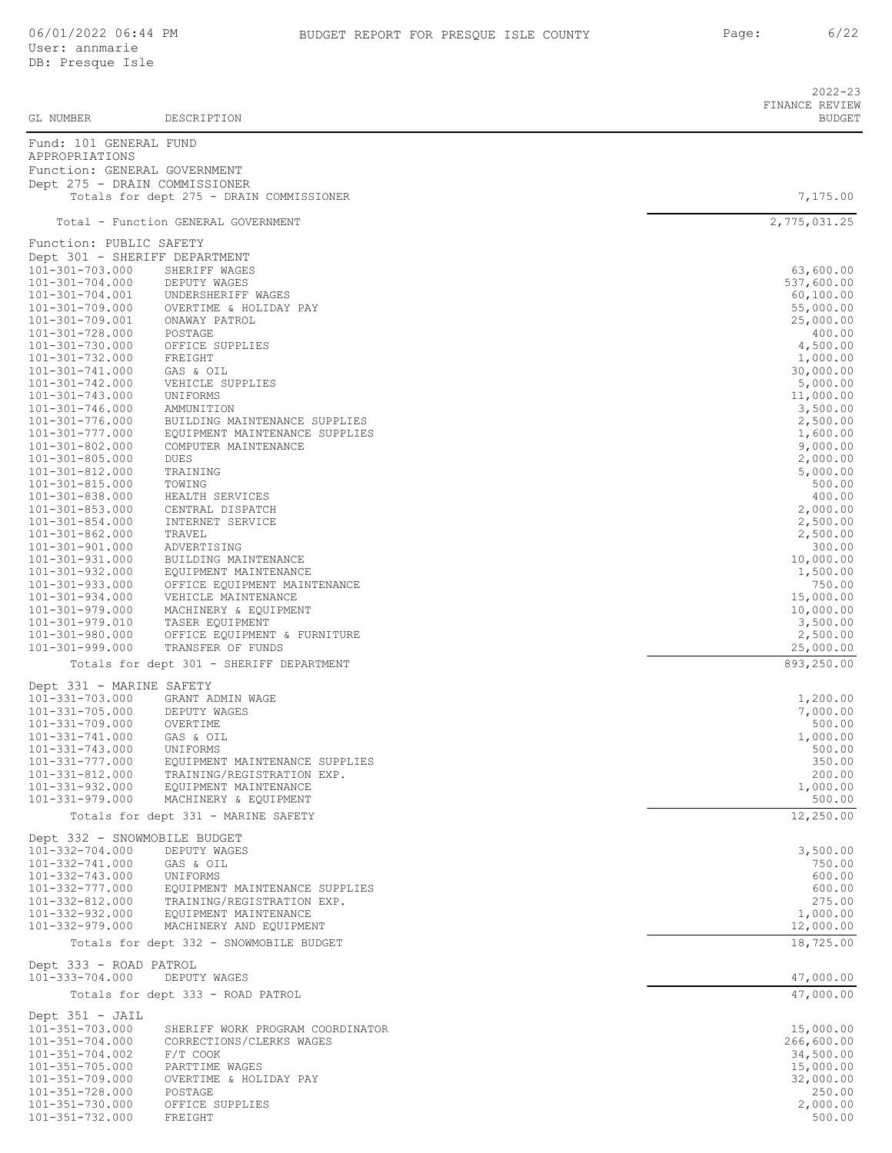|                                                 |                                                               | 2022-23<br>FINANCE REVIEW |
|-------------------------------------------------|---------------------------------------------------------------|---------------------------|
| GL NUMBER                                       | DESCRIPTION                                                   | <b>BUDGET</b>             |
| Fund: 101 GENERAL FUND<br>APPROPRIATIONS        |                                                               |                           |
| Function: GENERAL GOVERNMENT                    |                                                               |                           |
| Dept 275 - DRAIN COMMISSIONER                   | Totals for dept 275 - DRAIN COMMISSIONER                      | 7,175.00                  |
|                                                 | Total - Function GENERAL GOVERNMENT                           | 2,775,031.25              |
| Function: PUBLIC SAFETY                         |                                                               |                           |
| Dept 301 - SHERIFF DEPARTMENT                   |                                                               |                           |
| 101-301-703.000<br>101-301-704.000              | SHERIFF WAGES<br>DEPUTY WAGES                                 | 63,600.00<br>537,600.00   |
| 101-301-704.001                                 | UNDERSHERIFF WAGES                                            | 60,100.00                 |
| 101-301-709.000                                 | OVERTIME & HOLIDAY PAY                                        | 55,000.00                 |
| 101-301-709.001                                 | ONAWAY PATROL                                                 | 25,000.00                 |
| 101-301-728.000<br>101-301-730.000              | POSTAGE<br>OFFICE SUPPLIES                                    | 400.00<br>4,500.00        |
| $101 - 301 - 732.000$                           | FREIGHT                                                       | 1,000.00                  |
| 101-301-741.000                                 | GAS & OIL                                                     | 30,000.00                 |
| $101 - 301 - 742.000$                           | VEHICLE SUPPLIES                                              | 5,000.00                  |
| 101-301-743.000<br>$101 - 301 - 746.000$        | UNIFORMS<br>AMMUNITION                                        | 11,000.00<br>3,500.00     |
| 101-301-776.000                                 | BUILDING MAINTENANCE SUPPLIES                                 | 2,500.00                  |
| 101-301-777.000                                 | EQUIPMENT MAINTENANCE SUPPLIES                                | 1,600.00                  |
| $101 - 301 - 802.000$                           | COMPUTER MAINTENANCE                                          | 9,000.00                  |
| $101 - 301 - 805.000$<br>101-301-812.000        | DUES                                                          | 2,000.00                  |
| 101-301-815.000                                 | TRAINING<br>TOWING                                            | 5,000.00<br>500.00        |
| 101-301-838.000                                 | HEALTH SERVICES                                               | 400.00                    |
| $101 - 301 - 853.000$                           | CENTRAL DISPATCH                                              | 2,000.00                  |
| $101 - 301 - 854.000$<br>101-301-862.000        | INTERNET SERVICE<br>TRAVEL                                    | 2,500.00<br>2,500.00      |
| $101 - 301 - 901.000$                           | ADVERTISING                                                   | 300.00                    |
| $101 - 301 - 931.000$                           | BUILDING MAINTENANCE                                          | 10,000.00                 |
| 101-301-932.000                                 | EQUIPMENT MAINTENANCE                                         | 1,500.00                  |
| 101-301-933.000<br>101-301-934.000              | OFFICE EQUIPMENT MAINTENANCE                                  | 750.00                    |
| 101-301-979.000                                 | VEHICLE MAINTENANCE<br>MACHINERY & EQUIPMENT                  | 15,000.00<br>10,000.00    |
| 101-301-979.010                                 | TASER EQUIPMENT                                               | 3,500.00                  |
| 101-301-980.000                                 | OFFICE EQUIPMENT & FURNITURE                                  | 2,500.00                  |
| $101 - 301 - 999.000$                           | TRANSFER OF FUNDS<br>Totals for dept 301 - SHERIFF DEPARTMENT | 25,000.00<br>893,250.00   |
|                                                 |                                                               |                           |
| Dept 331 - MARINE SAFETY<br>101-331-703.000     | GRANT ADMIN WAGE                                              | 1,200.00                  |
| $101 - 331 - 705.000$                           | DEPUTY WAGES                                                  | 7,000.00                  |
| 101-331-709.000                                 | OVERTIME                                                      | 500.00                    |
| 101-331-741.000                                 | GAS & OIL                                                     | 1,000.00                  |
| $101 - 331 - 743.000$<br>101-331-777.000        | UNIFORMS<br>EQUIPMENT MAINTENANCE SUPPLIES                    | 500.00<br>350.00          |
| 101-331-812.000                                 | TRAINING/REGISTRATION EXP.                                    | 200.00                    |
| $101 - 331 - 932.000$                           | EQUIPMENT MAINTENANCE                                         | 1,000.00                  |
| $101 - 331 - 979.000$                           | MACHINERY & EQUIPMENT                                         | 500.00                    |
|                                                 | Totals for dept 331 - MARINE SAFETY                           | 12,250.00                 |
| Dept 332 - SNOWMOBILE BUDGET<br>101-332-704.000 | DEPUTY WAGES                                                  | 3,500.00                  |
| 101-332-741.000                                 | GAS & OIL                                                     | 750.00                    |
| 101-332-743.000                                 | UNIFORMS                                                      | 600.00                    |
| 101-332-777.000                                 | EQUIPMENT MAINTENANCE SUPPLIES                                | 600.00                    |
| 101-332-812.000<br>101-332-932.000              | TRAINING/REGISTRATION EXP.<br>EQUIPMENT MAINTENANCE           | 275.00<br>1,000.00        |
| 101-332-979.000                                 | MACHINERY AND EQUIPMENT                                       | 12,000.00                 |
|                                                 | Totals for dept 332 - SNOWMOBILE BUDGET                       | 18,725.00                 |
| Dept 333 - ROAD PATROL<br>101-333-704.000       | DEPUTY WAGES                                                  |                           |
|                                                 | Totals for dept 333 - ROAD PATROL                             | 47,000.00<br>47,000.00    |
| Dept 351 - JAIL                                 |                                                               |                           |
| 101-351-703.000                                 | SHERIFF WORK PROGRAM COORDINATOR                              | 15,000.00                 |
| $101 - 351 - 704.000$                           | CORRECTIONS/CLERKS WAGES                                      | 266,600.00                |
| $101 - 351 - 704.002$                           | $F/T$ COOK                                                    | 34,500.00                 |
| $101 - 351 - 705.000$<br>$101 - 351 - 709.000$  | PARTTIME WAGES<br>OVERTIME & HOLIDAY PAY                      | 15,000.00<br>32,000.00    |
| $101 - 351 - 728.000$                           | POSTAGE                                                       | 250.00                    |
| $101 - 351 - 730.000$                           | OFFICE SUPPLIES                                               | 2,000.00                  |
| $101 - 351 - 732.000$                           | FREIGHT                                                       | 500.00                    |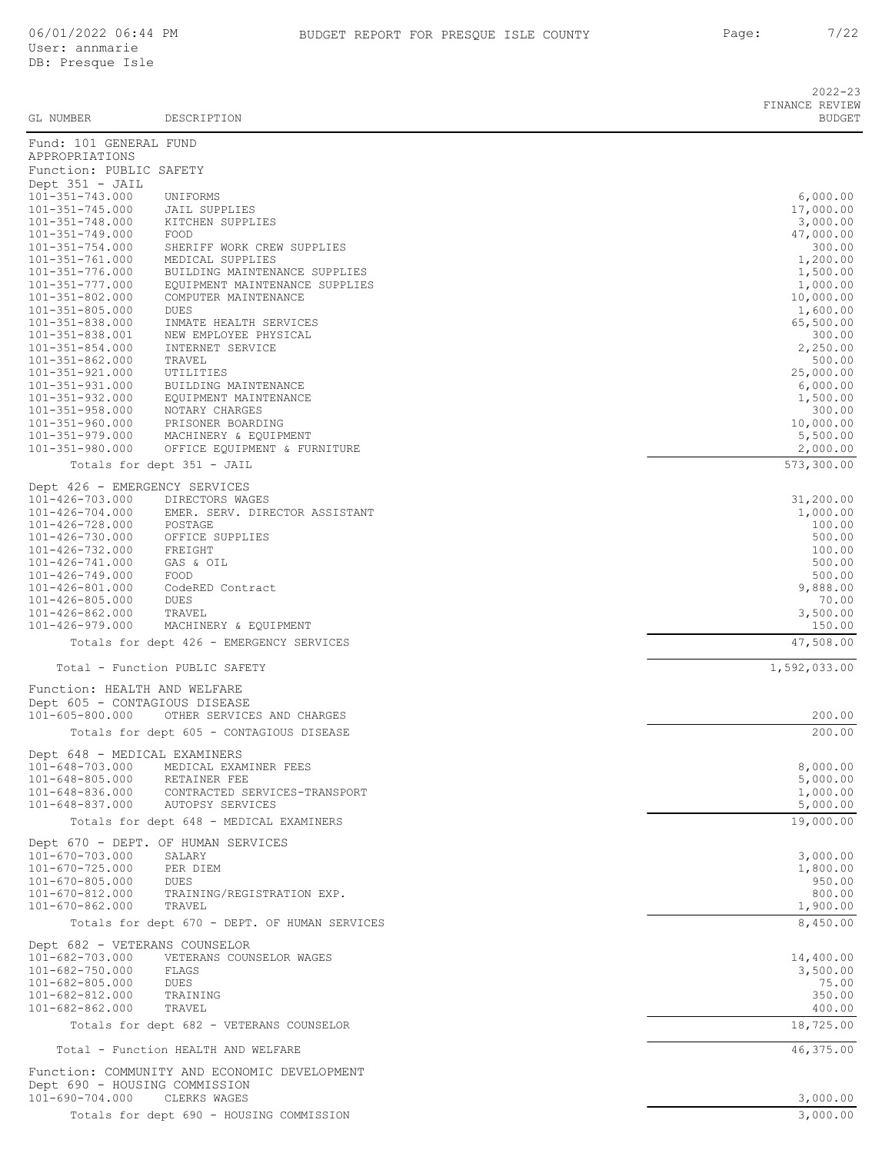| GL NUMBER               | DESCRIPTION                | $2022 - 23$<br>FINANCE REVIEW<br><b>BUDGET</b> |
|-------------------------|----------------------------|------------------------------------------------|
| Fund: 101 GENERAL FUND  |                            |                                                |
| APPROPRIATIONS          |                            |                                                |
| Function: PUBLIC SAFETY |                            |                                                |
| Dept $351 - JAIL$       |                            |                                                |
| 101-351-743.000         | UNIFORMS                   | 6,000.00                                       |
| 101-351-745.000         | JAIL SUPPLIES              | 17,000.00                                      |
| 101-351-748.000         | KITCHEN SUPPLIES           | 3,000.00                                       |
| 101-351-749.000         | FOOD                       | 47,000.00                                      |
| $101 - 351 - 751$ 000   | CUPPTER MODK CPFM CHDDITEC | 300 00                                         |

| 101-351-749.000                          | FOOD                                               | 47,000.00           |
|------------------------------------------|----------------------------------------------------|---------------------|
| $101 - 351 - 754.000$                    | SHERIFF WORK CREW SUPPLIES                         | 300.00              |
| $101 - 351 - 761.000$                    | MEDICAL SUPPLIES                                   | 1,200.00            |
| 101-351-776.000                          | BUILDING MAINTENANCE SUPPLIES                      | 1,500.00            |
| $101 - 351 - 777.000$                    | EQUIPMENT MAINTENANCE SUPPLIES                     | 1,000.00            |
| $101 - 351 - 802.000$                    | COMPUTER MAINTENANCE                               | 10,000.00           |
| $101 - 351 - 805.000$                    | DUES                                               | 1,600.00            |
| $101 - 351 - 838.000$                    | INMATE HEALTH SERVICES                             | 65,500.00           |
| 101-351-838.001                          | NEW EMPLOYEE PHYSICAL                              | 300.00              |
| $101 - 351 - 854.000$                    | INTERNET SERVICE                                   | 2,250.00            |
| $101 - 351 - 862.000$                    | TRAVEL                                             | 500.00              |
| $101 - 351 - 921.000$                    | UTILITIES                                          | 25,000.00           |
| $101 - 351 - 931.000$                    | BUILDING MAINTENANCE                               | 6,000.00            |
| $101 - 351 - 932.000$                    | EQUIPMENT MAINTENANCE                              | 1,500.00            |
| $101 - 351 - 958.000$                    | NOTARY CHARGES                                     | 300.00              |
| $101 - 351 - 960.000$                    | PRISONER BOARDING                                  | 10,000.00           |
| $101 - 351 - 979.000$                    | MACHINERY & EQUIPMENT                              | 5,500.00            |
| $101 - 351 - 980.000$                    | OFFICE EQUIPMENT & FURNITURE                       | 2,000.00            |
|                                          | Totals for dept 351 - JAIL                         | 573,300.00          |
| Dept 426 - EMERGENCY SERVICES            |                                                    |                     |
| 101-426-703.000                          | DIRECTORS WAGES                                    | 31,200.00           |
| 101-426-704.000                          | EMER. SERV. DIRECTOR ASSISTANT                     | 1,000.00            |
| 101-426-728.000                          | POSTAGE                                            | 100.00              |
| 101-426-730.000                          | OFFICE SUPPLIES                                    | 500.00              |
| 101-426-732.000                          | FREIGHT                                            | 100.00              |
| 101-426-741.000                          | GAS & OIL                                          | 500.00              |
| $101 - 426 - 749.000$                    | FOOD                                               | 500.00              |
| 101-426-801.000                          | CodeRED Contract                                   | 9,888.00            |
| 101-426-805.000                          | DUES                                               | 70.00               |
| $101 - 426 - 862.000$                    | TRAVEL                                             | 3,500.00            |
| $101 - 426 - 979.000$                    | MACHINERY & EQUIPMENT                              | 150.00              |
|                                          | Totals for dept 426 - EMERGENCY SERVICES           | 47,508.00           |
|                                          |                                                    |                     |
|                                          | Total - Function PUBLIC SAFETY                     | 1,592,033.00        |
| Function: HEALTH AND WELFARE             |                                                    |                     |
| Dept 605 - CONTAGIOUS DISEASE            |                                                    |                     |
| 101-605-800.000                          | OTHER SERVICES AND CHARGES                         | 200.00              |
|                                          | Totals for dept 605 - CONTAGIOUS DISEASE           | 200.00              |
|                                          |                                                    |                     |
| Dept 648 - MEDICAL EXAMINERS             |                                                    |                     |
| $101 - 648 - 703.000$                    | MEDICAL EXAMINER FEES                              | 8,000.00            |
| $101 - 648 - 805.000$                    | RETAINER FEE                                       | 5,000.00            |
| $101 - 648 - 836.000$                    | CONTRACTED SERVICES-TRANSPORT                      | 1,000.00            |
| $101 - 648 - 837.000$                    | AUTOPSY SERVICES                                   | 5,000.00            |
|                                          | Totals for dept 648 - MEDICAL EXAMINERS            | 19,000.00           |
|                                          | Dept 670 - DEPT. OF HUMAN SERVICES                 |                     |
| $101 - 670 - 703.000$                    | SALARY                                             | 3,000.00            |
| $101 - 670 - 725.000$                    | PER DIEM                                           | 1,800.00            |
| $101 - 670 - 805.000$                    | DUES                                               | 950.00              |
| 101-670-812.000                          | TRAINING/REGISTRATION EXP.                         | 800.00              |
| $101 - 670 - 862.000$                    | TRAVEL                                             | 1,900.00            |
|                                          | Totals for dept 670 - DEPT. OF HUMAN SERVICES      | 8,450.00            |
|                                          |                                                    |                     |
| Dept 682 - VETERANS COUNSELOR            |                                                    |                     |
| 101-682-703.000                          | VETERANS COUNSELOR WAGES                           | 14,400.00           |
| 101-682-750.000                          | FLAGS                                              | 3,500.00            |
|                                          |                                                    |                     |
|                                          | DUES                                               | 75.00               |
| $101 - 682 - 805.000$<br>101-682-812.000 | TRAINING                                           | 350.00              |
| $101 - 682 - 862.000$                    | TRAVEL<br>Totals for dept 682 - VETERANS COUNSELOR | 400.00<br>18,725.00 |

Total - Function HEALTH AND WELFARE 46,375.00

Function: COMMUNITY AND ECONOMIC DEVELOPMENT Dept 690 - HOUSING COMMISSION 101-690-704.000 CLERKS WAGES 3,000.00

Totals for dept 690 - HOUSING COMMISSION 3,000.00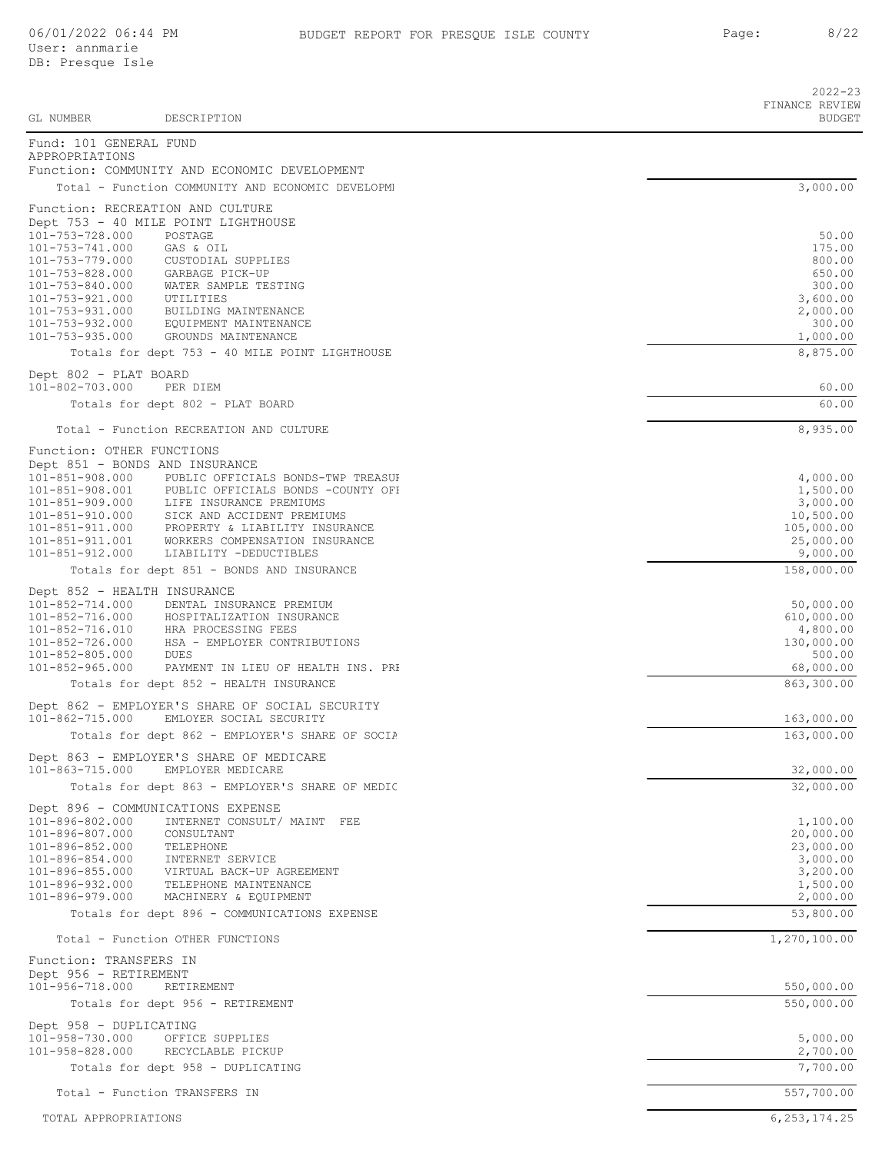2022-23

| GL NUMBER                                      | DESCRIPTION                                                               | FINANCE REVIEW<br><b>BUDGET</b> |
|------------------------------------------------|---------------------------------------------------------------------------|---------------------------------|
| Fund: 101 GENERAL FUND<br>APPROPRIATIONS       |                                                                           |                                 |
|                                                | Function: COMMUNITY AND ECONOMIC DEVELOPMENT                              |                                 |
|                                                | Total - Function COMMUNITY AND ECONOMIC DEVELOPME                         | 3,000.00                        |
|                                                | Function: RECREATION AND CULTURE<br>Dept 753 - 40 MILE POINT LIGHTHOUSE   |                                 |
| 101-753-728.000                                | POSTAGE                                                                   | 50.00                           |
| 101-753-741.000                                | GAS & OIL                                                                 | 175.00                          |
| 101-753-779.000<br>101-753-828.000             | CUSTODIAL SUPPLIES<br>GARBAGE PICK-UP                                     | 800.00<br>650.00                |
| 101-753-840.000                                | WATER SAMPLE TESTING                                                      | 300.00                          |
| 101-753-921.000                                | UTILITIES                                                                 | 3,600.00                        |
| 101-753-931.000                                | BUILDING MAINTENANCE                                                      | 2,000.00                        |
| 101-753-932.000<br>101-753-935.000             | EQUIPMENT MAINTENANCE<br>GROUNDS MAINTENANCE                              | 300.00<br>1,000.00              |
|                                                | Totals for dept 753 - 40 MILE POINT LIGHTHOUSE                            | 8,875.00                        |
| Dept 802 - PLAT BOARD                          |                                                                           |                                 |
| 101-802-703.000                                | PER DIEM                                                                  | 60.00                           |
|                                                | Totals for dept 802 - PLAT BOARD                                          | 60.00                           |
|                                                | Total - Function RECREATION AND CULTURE                                   | 8,935.00                        |
| Function: OTHER FUNCTIONS                      |                                                                           |                                 |
| Dept 851 - BONDS AND INSURANCE                 |                                                                           |                                 |
| $101 - 851 - 908.000$<br>$101 - 851 - 908.001$ | PUBLIC OFFICIALS BONDS-TWP TREASUE                                        | 4,000.00                        |
| 101-851-909.000                                | PUBLIC OFFICIALS BONDS -COUNTY OFI<br>LIFE INSURANCE PREMIUMS             | 1,500.00<br>3,000.00            |
| 101-851-910.000                                | SICK AND ACCIDENT PREMIUMS                                                | 10,500.00                       |
| 101-851-911.000                                | PROPERTY & LIABILITY INSURANCE                                            | 105,000.00                      |
| 101-851-911.001<br>101-851-912.000             | WORKERS COMPENSATION INSURANCE<br>LIABILITY -DEDUCTIBLES                  | 25,000.00<br>9,000.00           |
|                                                | Totals for dept 851 - BONDS AND INSURANCE                                 | 158,000.00                      |
| Dept 852 - HEALTH INSURANCE                    |                                                                           |                                 |
| 101-852-714.000                                | DENTAL INSURANCE PREMIUM                                                  | 50,000.00                       |
| 101-852-716.000<br>101-852-716.010             | HOSPITALIZATION INSURANCE<br>HRA PROCESSING FEES                          | 610,000.00<br>4,800.00          |
| 101-852-726.000                                | HSA - EMPLOYER CONTRIBUTIONS                                              | 130,000.00                      |
| $101 - 852 - 805.000$                          | <b>DUES</b>                                                               | 500.00                          |
| $101 - 852 - 965.000$                          | PAYMENT IN LIEU OF HEALTH INS. PRE                                        | 68,000.00                       |
|                                                | Totals for dept 852 - HEALTH INSURANCE                                    | 863,300.00                      |
| 101-862-715.000                                | Dept 862 - EMPLOYER'S SHARE OF SOCIAL SECURITY<br>EMLOYER SOCIAL SECURITY | 163,000.00                      |
|                                                | Totals for dept 862 - EMPLOYER'S SHARE OF SOCIA                           | 163,000.00                      |
| 101-863-715.000                                | Dept 863 - EMPLOYER'S SHARE OF MEDICARE<br>EMPLOYER MEDICARE              | 32,000.00                       |
|                                                | Totals for dept 863 - EMPLOYER'S SHARE OF MEDIC                           | 32,000.00                       |
|                                                | Dept 896 - COMMUNICATIONS EXPENSE                                         |                                 |
| 101-896-802.000                                | INTERNET CONSULT/ MAINT FEE                                               | 1,100.00                        |
| 101-896-807.000                                | CONSULTANT                                                                | 20,000.00                       |
| 101-896-852.000<br>101-896-854.000             | TELEPHONE<br>INTERNET SERVICE                                             | 23,000.00<br>3,000.00           |
| $101 - 896 - 855.000$                          | VIRTUAL BACK-UP AGREEMENT                                                 | 3,200.00                        |
| 101-896-932.000                                | TELEPHONE MAINTENANCE                                                     | 1,500.00                        |
| $101 - 896 - 979.000$                          | MACHINERY & EQUIPMENT                                                     | 2,000.00                        |
|                                                | Totals for dept 896 - COMMUNICATIONS EXPENSE                              | 53,800.00                       |
|                                                | Total - Function OTHER FUNCTIONS                                          | 1,270,100.00                    |
| Function: TRANSFERS IN                         |                                                                           |                                 |
| Dept 956 - RETIREMENT<br>101-956-718.000       | RETIREMENT                                                                | 550,000.00                      |
|                                                | Totals for dept 956 - RETIREMENT                                          | 550,000.00                      |
| Dept 958 - DUPLICATING                         |                                                                           |                                 |
| 101-958-730.000                                | OFFICE SUPPLIES                                                           | 5,000.00                        |
| 101-958-828.000                                | RECYCLABLE PICKUP                                                         | 2,700.00                        |
|                                                | Totals for dept 958 - DUPLICATING                                         | 7,700.00                        |
|                                                | Total - Function TRANSFERS IN                                             | 557,700.00                      |
| TOTAL APPROPRIATIONS                           |                                                                           | 6, 253, 174.25                  |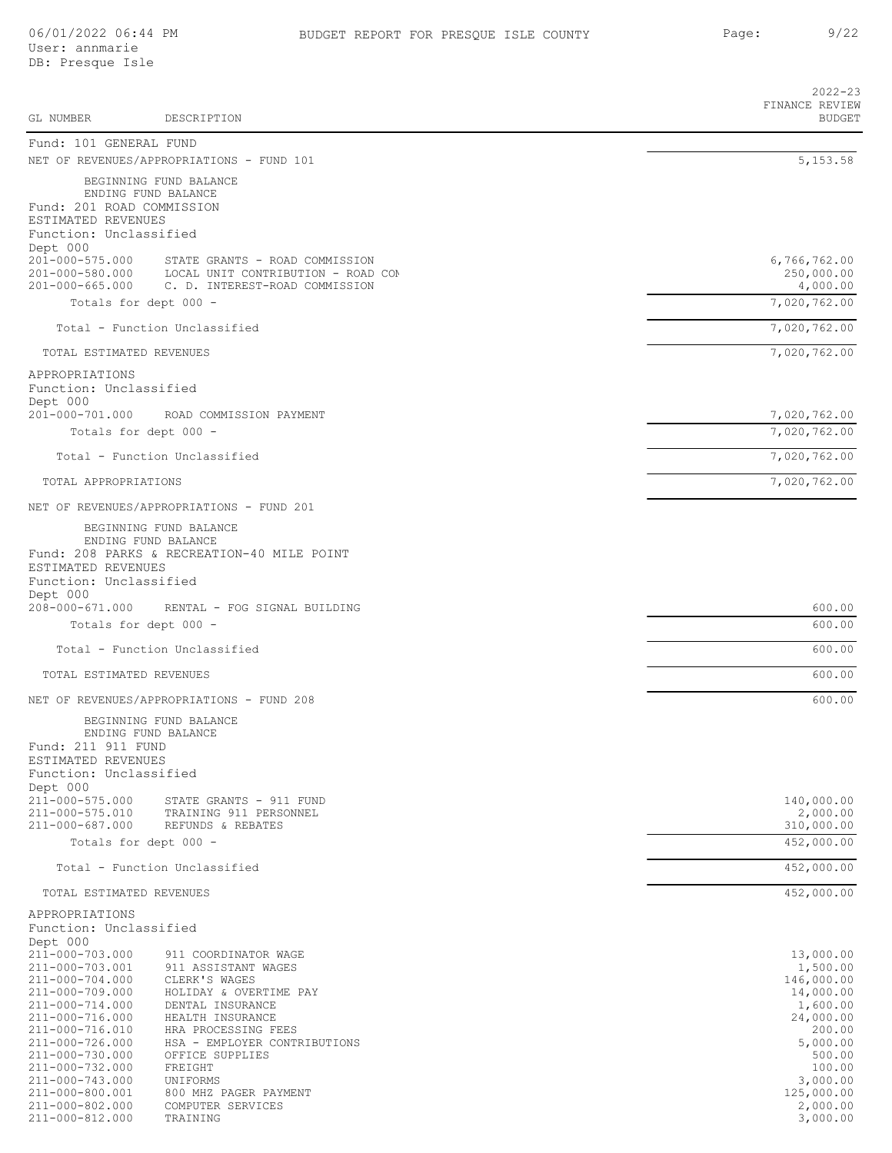|                                              |                                                                   | $2022 - 23$<br>FINANCE REVIEW |
|----------------------------------------------|-------------------------------------------------------------------|-------------------------------|
| GL NUMBER                                    | DESCRIPTION                                                       | <b>BUDGET</b>                 |
| Fund: 101 GENERAL FUND                       |                                                                   |                               |
|                                              | NET OF REVENUES/APPROPRIATIONS - FUND 101                         | 5, 153.58                     |
|                                              | BEGINNING FUND BALANCE<br>ENDING FUND BALANCE                     |                               |
| Fund: 201 ROAD COMMISSION                    |                                                                   |                               |
| ESTIMATED REVENUES                           |                                                                   |                               |
| Function: Unclassified<br>Dept 000           |                                                                   |                               |
| 201-000-575.000                              | STATE GRANTS - ROAD COMMISSION                                    | 6,766,762.00                  |
| 201-000-580.000                              | LOCAL UNIT CONTRIBUTION - ROAD COM                                | 250,000.00                    |
| $201 - 000 - 665.000$                        | C. D. INTEREST-ROAD COMMISSION<br>Totals for dept 000 -           | 4,000.00<br>7,020,762.00      |
|                                              |                                                                   |                               |
|                                              | Total - Function Unclassified                                     | 7,020,762.00                  |
| TOTAL ESTIMATED REVENUES                     |                                                                   | 7,020,762.00                  |
| APPROPRIATIONS                               |                                                                   |                               |
| Function: Unclassified<br>Dept 000           |                                                                   |                               |
| $201 - 000 - 701.000$                        | ROAD COMMISSION PAYMENT                                           | 7,020,762.00                  |
|                                              | Totals for dept 000 -                                             | 7,020,762.00                  |
|                                              | Total - Function Unclassified                                     | 7,020,762.00                  |
| TOTAL APPROPRIATIONS                         |                                                                   | 7,020,762.00                  |
|                                              | NET OF REVENUES/APPROPRIATIONS - FUND 201                         |                               |
|                                              | BEGINNING FUND BALANCE                                            |                               |
|                                              | ENDING FUND BALANCE<br>Fund: 208 PARKS & RECREATION-40 MILE POINT |                               |
| ESTIMATED REVENUES                           |                                                                   |                               |
| Function: Unclassified                       |                                                                   |                               |
| Dept 000<br>208-000-671.000                  | RENTAL - FOG SIGNAL BUILDING                                      | 600.00                        |
|                                              | Totals for dept 000 -                                             | 600.00                        |
|                                              | Total - Function Unclassified                                     | 600.00                        |
| TOTAL ESTIMATED REVENUES                     |                                                                   | 600.00                        |
|                                              | NET OF REVENUES/APPROPRIATIONS - FUND 208                         | 600.00                        |
|                                              |                                                                   |                               |
|                                              | BEGINNING FUND BALANCE<br>ENDING FUND BALANCE                     |                               |
| Fund: 211 911 FUND                           |                                                                   |                               |
| ESTIMATED REVENUES<br>Function: Unclassified |                                                                   |                               |
| Dept 000                                     |                                                                   |                               |
| 211-000-575.000                              | STATE GRANTS - 911 FUND                                           | 140,000.00                    |
| 211-000-575.010<br>211-000-687.000           | TRAINING 911 PERSONNEL<br>REFUNDS & REBATES                       | 2,000.00<br>310,000.00        |
|                                              | Totals for dept 000 -                                             | 452,000.00                    |
|                                              | Total - Function Unclassified                                     | 452,000.00                    |
| TOTAL ESTIMATED REVENUES                     |                                                                   | 452,000.00                    |
| APPROPRIATIONS                               |                                                                   |                               |
| Function: Unclassified                       |                                                                   |                               |
| Dept 000<br>211-000-703.000                  | 911 COORDINATOR WAGE                                              | 13,000.00                     |
| 211-000-703.001                              | 911 ASSISTANT WAGES                                               | 1,500.00                      |
| 211-000-704.000                              | CLERK'S WAGES                                                     | 146,000.00                    |
| 211-000-709.000<br>211-000-714.000           | HOLIDAY & OVERTIME PAY<br>DENTAL INSURANCE                        | 14,000.00<br>1,600.00         |
| 211-000-716.000                              | HEALTH INSURANCE                                                  | 24,000.00                     |
| 211-000-716.010                              | HRA PROCESSING FEES                                               | 200.00                        |
| 211-000-726.000<br>211-000-730.000           | HSA - EMPLOYER CONTRIBUTIONS<br>OFFICE SUPPLIES                   | 5,000.00<br>500.00            |
| 211-000-732.000                              | FREIGHT                                                           | 100.00                        |
| 211-000-743.000                              | UNIFORMS                                                          | 3,000.00                      |
| 211-000-800.001<br>211-000-802.000           | 800 MHZ PAGER PAYMENT<br>COMPUTER SERVICES                        | 125,000.00<br>2,000.00        |
| 211-000-812.000                              | TRAINING                                                          | 3,000.00                      |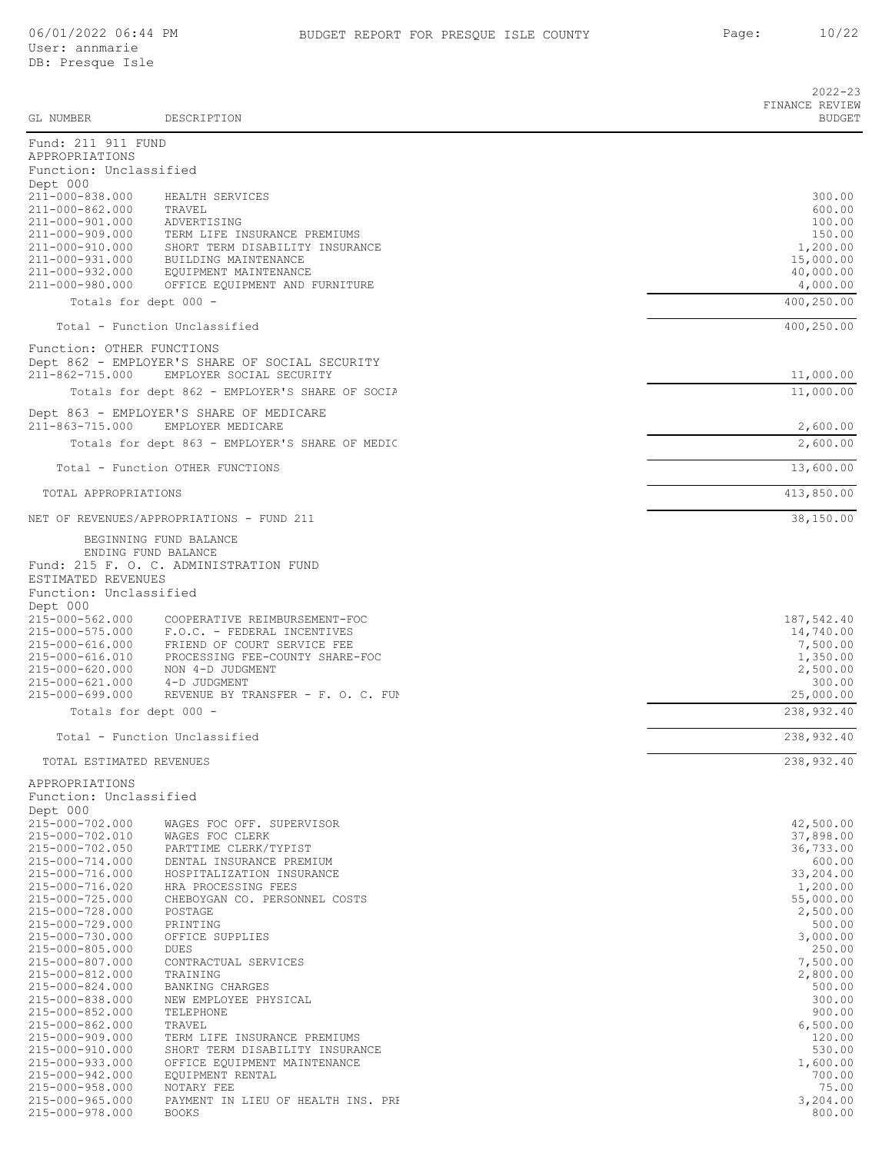|                                                 |                                                                            | $2022 - 23$<br>FINANCE REVIEW |
|-------------------------------------------------|----------------------------------------------------------------------------|-------------------------------|
| GL NUMBER                                       | DESCRIPTION                                                                | <b>BUDGET</b>                 |
| Fund: 211 911 FUND<br>APPROPRIATIONS            |                                                                            |                               |
| Function: Unclassified                          |                                                                            |                               |
| Dept 000                                        |                                                                            |                               |
| 211-000-838.000<br>211-000-862.000              | HEALTH SERVICES<br>TRAVEL                                                  | 300.00<br>600.00              |
| 211-000-901.000                                 | ADVERTISING                                                                | 100.00                        |
| 211-000-909.000                                 | TERM LIFE INSURANCE PREMIUMS                                               | 150.00                        |
| 211-000-910.000<br>211-000-931.000              | SHORT TERM DISABILITY INSURANCE<br>BUILDING MAINTENANCE                    | 1,200.00<br>15,000.00         |
| 211-000-932.000                                 | EQUIPMENT MAINTENANCE                                                      | 40,000.00                     |
| 211-000-980.000                                 | OFFICE EQUIPMENT AND FURNITURE                                             | 4,000.00                      |
|                                                 | Totals for dept 000 -                                                      | 400, 250.00                   |
|                                                 | Total - Function Unclassified                                              | 400,250.00                    |
| Function: OTHER FUNCTIONS                       |                                                                            |                               |
| 211-862-715.000                                 | Dept 862 - EMPLOYER'S SHARE OF SOCIAL SECURITY<br>EMPLOYER SOCIAL SECURITY |                               |
|                                                 | Totals for dept 862 - EMPLOYER'S SHARE OF SOCIA                            | 11,000.00<br>11,000.00        |
|                                                 | Dept 863 - EMPLOYER'S SHARE OF MEDICARE                                    |                               |
| $211 - 863 - 715.000$                           | EMPLOYER MEDICARE                                                          | 2,600.00                      |
|                                                 | Totals for dept 863 - EMPLOYER'S SHARE OF MEDIC                            | 2,600.00                      |
|                                                 | Total - Function OTHER FUNCTIONS                                           | 13,600.00                     |
| TOTAL APPROPRIATIONS                            |                                                                            | 413,850.00                    |
|                                                 | NET OF REVENUES/APPROPRIATIONS - FUND 211                                  | 38,150.00                     |
|                                                 | BEGINNING FUND BALANCE                                                     |                               |
|                                                 | ENDING FUND BALANCE                                                        |                               |
|                                                 | Fund: 215 F. O. C. ADMINISTRATION FUND                                     |                               |
| ESTIMATED REVENUES<br>Function: Unclassified    |                                                                            |                               |
| Dept 000                                        |                                                                            |                               |
| 215-000-562.000                                 | COOPERATIVE REIMBURSEMENT-FOC                                              | 187,542.40                    |
| 215-000-575.000                                 | F.O.C. - FEDERAL INCENTIVES<br>215-000-616.000 FRIEND OF COURT SERVICE FEE | 14,740.00<br>7,500.00         |
|                                                 | 215-000-616.010 PROCESSING FEE-COUNTY SHARE-FOC                            | 1,350.00                      |
| 215-000-620.000                                 | NON 4-D JUDGMENT                                                           | 2,500.00                      |
| 215-000-621.000 4-D JUDGMENT<br>215-000-699.000 | REVENUE BY TRANSFER - F. O. C. FUM                                         | 300.00<br>25,000.00           |
|                                                 | Totals for dept 000 -                                                      | 238,932.40                    |
|                                                 | Total - Function Unclassified                                              | 238,932.40                    |
|                                                 |                                                                            | 238,932.40                    |
| TOTAL ESTIMATED REVENUES                        |                                                                            |                               |
| APPROPRIATIONS<br>Function: Unclassified        |                                                                            |                               |
| Dept 000                                        |                                                                            |                               |
| 215-000-702.000                                 | WAGES FOC OFF. SUPERVISOR                                                  | 42,500.00                     |
| 215-000-702.010                                 | WAGES FOC CLERK                                                            | 37,898.00                     |
| 215-000-702.050<br>215-000-714.000              | PARTTIME CLERK/TYPIST<br>DENTAL INSURANCE PREMIUM                          | 36,733.00<br>600.00           |
| 215-000-716.000                                 | HOSPITALIZATION INSURANCE                                                  | 33,204.00                     |
| 215-000-716.020                                 | HRA PROCESSING FEES                                                        | 1,200.00                      |
| 215-000-725.000<br>215-000-728.000              | CHEBOYGAN CO. PERSONNEL COSTS<br>POSTAGE                                   | 55,000.00<br>2,500.00         |
| 215-000-729.000                                 | PRINTING                                                                   | 500.00                        |
| 215-000-730.000                                 | OFFICE SUPPLIES                                                            | 3,000.00                      |
| 215-000-805.000<br>215-000-807.000              | DUES<br>CONTRACTUAL SERVICES                                               | 250.00<br>7,500.00            |
| 215-000-812.000                                 | TRAINING                                                                   | 2,800.00                      |
| 215-000-824.000                                 | BANKING CHARGES                                                            | 500.00                        |
| 215-000-838.000                                 | NEW EMPLOYEE PHYSICAL                                                      | 300.00                        |
| 215-000-852.000<br>215-000-862.000              | TELEPHONE<br>TRAVEL                                                        | 900.00<br>6,500.00            |
| 215-000-909.000                                 | TERM LIFE INSURANCE PREMIUMS                                               | 120.00                        |
| 215-000-910.000                                 | SHORT TERM DISABILITY INSURANCE                                            | 530.00                        |
| 215-000-933.000<br>215-000-942.000              | OFFICE EQUIPMENT MAINTENANCE<br>EQUIPMENT RENTAL                           | 1,600.00<br>700.00            |
| 215-000-958.000                                 | NOTARY FEE                                                                 | 75.00                         |
| 215-000-965.000                                 | PAYMENT IN LIEU OF HEALTH INS. PRE                                         | 3,204.00                      |
| 215-000-978.000                                 | <b>BOOKS</b>                                                               | 800.00                        |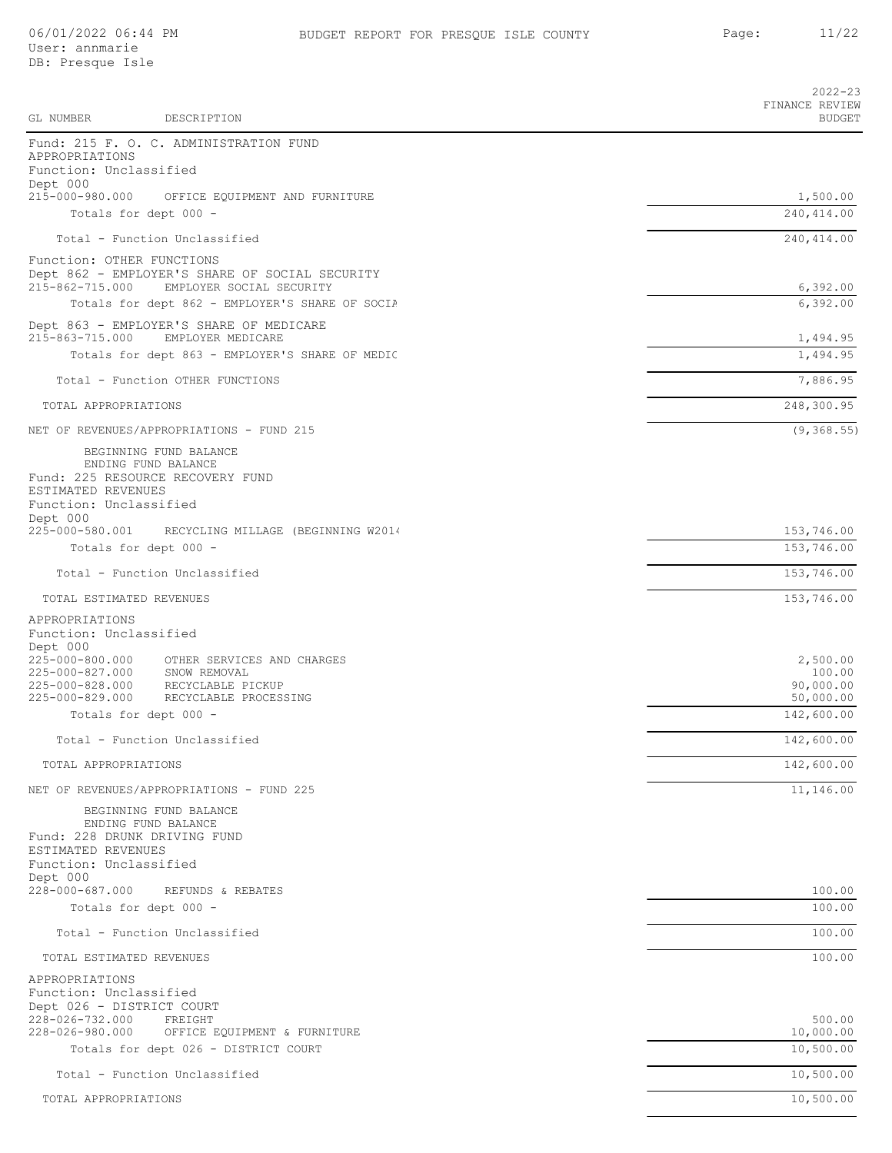|                                                                                                                                                                      | $2022 - 23$<br>FINANCE REVIEW                |
|----------------------------------------------------------------------------------------------------------------------------------------------------------------------|----------------------------------------------|
| GL NUMBER<br>DESCRIPTION                                                                                                                                             | <b>BUDGET</b>                                |
| Fund: 215 F. O. C. ADMINISTRATION FUND<br>APPROPRIATIONS<br>Function: Unclassified<br>Dept 000                                                                       |                                              |
| 215-000-980.000<br>OFFICE EQUIPMENT AND FURNITURE<br>Totals for dept 000 -                                                                                           | 1,500.00<br>240, 414.00                      |
| Total - Function Unclassified                                                                                                                                        | 240, 414.00                                  |
| Function: OTHER FUNCTIONS                                                                                                                                            |                                              |
| Dept 862 - EMPLOYER'S SHARE OF SOCIAL SECURITY<br>215-862-715.000<br>EMPLOYER SOCIAL SECURITY                                                                        | 6,392.00                                     |
| Totals for dept 862 - EMPLOYER'S SHARE OF SOCIA                                                                                                                      | 6,392.00                                     |
| Dept 863 - EMPLOYER'S SHARE OF MEDICARE<br>215-863-715.000<br>EMPLOYER MEDICARE                                                                                      | 1,494.95                                     |
| Totals for dept 863 - EMPLOYER'S SHARE OF MEDIC                                                                                                                      | 1,494.95                                     |
| Total - Function OTHER FUNCTIONS                                                                                                                                     | 7,886.95                                     |
| TOTAL APPROPRIATIONS                                                                                                                                                 | 248,300.95                                   |
| NET OF REVENUES/APPROPRIATIONS - FUND 215                                                                                                                            | (9, 368.55)                                  |
| BEGINNING FUND BALANCE<br>ENDING FUND BALANCE<br>Fund: 225 RESOURCE RECOVERY FUND<br>ESTIMATED REVENUES<br>Function: Unclassified                                    |                                              |
| Dept 000<br>225-000-580.001<br>RECYCLING MILLAGE (BEGINNING W2014                                                                                                    | 153,746.00                                   |
| Totals for dept 000 -                                                                                                                                                | 153,746.00                                   |
| Total - Function Unclassified                                                                                                                                        | 153,746.00                                   |
| TOTAL ESTIMATED REVENUES                                                                                                                                             | 153,746.00                                   |
| APPROPRIATIONS<br>Function: Unclassified<br>Dept 000                                                                                                                 |                                              |
| 225-000-800.000<br>OTHER SERVICES AND CHARGES<br>225-000-827.000<br>SNOW REMOVAL<br>RECYCLABLE PICKUP<br>225-000-828.000<br>225-000-829.000<br>RECYCLABLE PROCESSING | 2,500.00<br>100.00<br>90,000.00<br>50,000.00 |
| Totals for dept 000 -                                                                                                                                                | 142,600.00                                   |
| Total - Function Unclassified                                                                                                                                        | 142,600.00                                   |
| TOTAL APPROPRIATIONS                                                                                                                                                 | 142,600.00                                   |
| NET OF REVENUES/APPROPRIATIONS - FUND 225                                                                                                                            | 11,146.00                                    |
| BEGINNING FUND BALANCE<br>ENDING FUND BALANCE<br>Fund: 228 DRUNK DRIVING FUND<br>ESTIMATED REVENUES<br>Function: Unclassified<br>Dept 000                            |                                              |
| 228-000-687.000<br>REFUNDS & REBATES                                                                                                                                 | 100.00                                       |
| Totals for dept 000 -                                                                                                                                                | 100.00                                       |
| Total - Function Unclassified                                                                                                                                        | 100.00                                       |
| TOTAL ESTIMATED REVENUES                                                                                                                                             | 100.00                                       |
| APPROPRIATIONS<br>Function: Unclassified<br>Dept 026 - DISTRICT COURT                                                                                                |                                              |
| 228-026-732.000<br>FREIGHT<br>228-026-980.000<br>OFFICE EQUIPMENT & FURNITURE                                                                                        | 500.00<br>10,000.00                          |
| Totals for dept 026 - DISTRICT COURT                                                                                                                                 | 10,500.00                                    |
| Total - Function Unclassified                                                                                                                                        | 10,500.00                                    |
| TOTAL APPROPRIATIONS                                                                                                                                                 | 10,500.00                                    |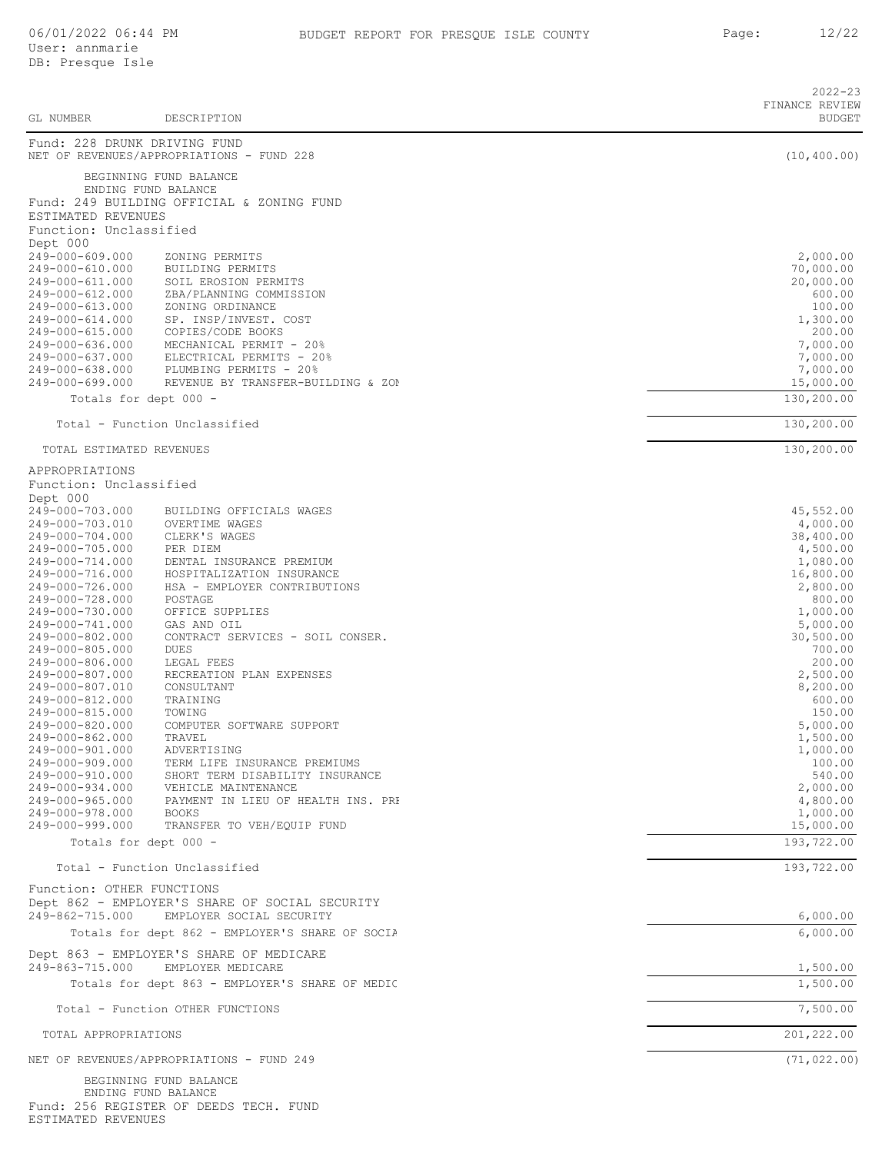|                                    |                                                                  | $2022 - 23$                     |
|------------------------------------|------------------------------------------------------------------|---------------------------------|
| GL NUMBER                          | DESCRIPTION                                                      | FINANCE REVIEW<br><b>BUDGET</b> |
| Fund: 228 DRUNK DRIVING FUND       |                                                                  |                                 |
|                                    | NET OF REVENUES/APPROPRIATIONS - FUND 228                        | (10, 400.00)                    |
|                                    | BEGINNING FUND BALANCE                                           |                                 |
| ENDING FUND BALANCE                | Fund: 249 BUILDING OFFICIAL & ZONING FUND                        |                                 |
| ESTIMATED REVENUES                 |                                                                  |                                 |
| Function: Unclassified             |                                                                  |                                 |
| Dept 000<br>249-000-609.000        | ZONING PERMITS                                                   | 2,000.00                        |
| 249-000-610.000                    | BUILDING PERMITS                                                 | 70,000.00                       |
| 249-000-611.000                    | SOIL EROSION PERMITS                                             | 20,000.00                       |
| 249-000-612.000<br>249-000-613.000 | ZBA/PLANNING COMMISSION<br>ZONING ORDINANCE                      | 600.00<br>100.00                |
| 249-000-614.000                    | SP. INSP/INVEST. COST                                            | 1,300.00                        |
| 249-000-615.000                    | COPIES/CODE BOOKS                                                | 200.00                          |
| 249-000-636.000<br>249-000-637.000 | MECHANICAL PERMIT - 20%<br>ELECTRICAL PERMITS - 20%              | 7,000.00<br>7,000.00            |
| 249-000-638.000                    | PLUMBING PERMITS - 20%                                           | 7,000.00                        |
| 249-000-699.000                    | REVENUE BY TRANSFER-BUILDING & ZON                               | 15,000.00                       |
| Totals for dept 000 -              |                                                                  | 130,200.00                      |
|                                    | Total - Function Unclassified                                    | 130,200.00                      |
| TOTAL ESTIMATED REVENUES           |                                                                  | 130,200.00                      |
| APPROPRIATIONS                     |                                                                  |                                 |
| Function: Unclassified             |                                                                  |                                 |
| Dept 000<br>249-000-703.000        | BUILDING OFFICIALS WAGES                                         | 45,552.00                       |
| 249-000-703.010                    | OVERTIME WAGES                                                   | 4,000.00                        |
| 249-000-704.000                    | CLERK'S WAGES                                                    | 38,400.00                       |
| 249-000-705.000<br>249-000-714.000 | PER DIEM<br>DENTAL INSURANCE PREMIUM                             | 4,500.00<br>1,080.00            |
| 249-000-716.000                    | HOSPITALIZATION INSURANCE                                        | 16,800.00                       |
| 249-000-726.000                    | HSA - EMPLOYER CONTRIBUTIONS<br>POSTAGE                          | 2,800.00                        |
| 249-000-728.000<br>249-000-730.000 | OFFICE SUPPLIES                                                  | 800.00<br>1,000.00              |
| 249-000-741.000                    | GAS AND OIL                                                      | 5,000.00                        |
| 249-000-802.000<br>249-000-805.000 | CONTRACT SERVICES - SOIL CONSER.                                 | 30,500.00                       |
| 249-000-806.000                    | <b>DUES</b><br>LEGAL FEES                                        | 700.00<br>200.00                |
| 249-000-807.000                    | RECREATION PLAN EXPENSES                                         | 2,500.00                        |
| 249-000-807.010                    | CONSULTANT                                                       | 8,200.00                        |
| 249-000-812.000<br>249-000-815.000 | TRAINING<br>TOWING                                               | 600.00<br>150.00                |
| 249-000-820.000                    | COMPUTER SOFTWARE SUPPORT                                        | 5,000.00                        |
| 249-000-862.000<br>249-000-901.000 | TRAVEL<br>ADVERTISING                                            | 1,500.00<br>1,000.00            |
| 249-000-909.000                    | TERM LIFE INSURANCE PREMIUMS                                     | 100.00                          |
| 249-000-910.000                    | SHORT TERM DISABILITY INSURANCE                                  | 540.00                          |
| 249-000-934.000<br>249-000-965.000 | VEHICLE MAINTENANCE<br>PAYMENT IN LIEU OF HEALTH INS. PRI        | 2,000.00<br>4,800.00            |
| 249-000-978.000                    | <b>BOOKS</b>                                                     | 1,000.00                        |
| 249-000-999.000                    | TRANSFER TO VEH/EQUIP FUND                                       | 15,000.00                       |
| Totals for dept 000 -              |                                                                  | 193,722.00                      |
|                                    | Total - Function Unclassified                                    | 193,722.00                      |
| Function: OTHER FUNCTIONS          | Dept 862 - EMPLOYER'S SHARE OF SOCIAL SECURITY                   |                                 |
| 249-862-715.000                    | EMPLOYER SOCIAL SECURITY                                         | 6,000.00                        |
|                                    | Totals for dept 862 - EMPLOYER'S SHARE OF SOCIA                  | 6,000.00                        |
|                                    | Dept 863 - EMPLOYER'S SHARE OF MEDICARE                          |                                 |
| 249-863-715.000                    | EMPLOYER MEDICARE                                                | 1,500.00                        |
|                                    | Totals for dept 863 - EMPLOYER'S SHARE OF MEDIC                  | 1,500.00                        |
|                                    | Total - Function OTHER FUNCTIONS                                 | 7,500.00                        |
| TOTAL APPROPRIATIONS               |                                                                  | 201,222.00                      |
|                                    | NET OF REVENUES/APPROPRIATIONS - FUND 249                        | (71, 022.00)                    |
| ENDING FUND BALANCE                | BEGINNING FUND BALANCE<br>Fund: 256 REGISTER OF DEEDS TECH. FUND |                                 |
| ESTIMATED REVENUES                 |                                                                  |                                 |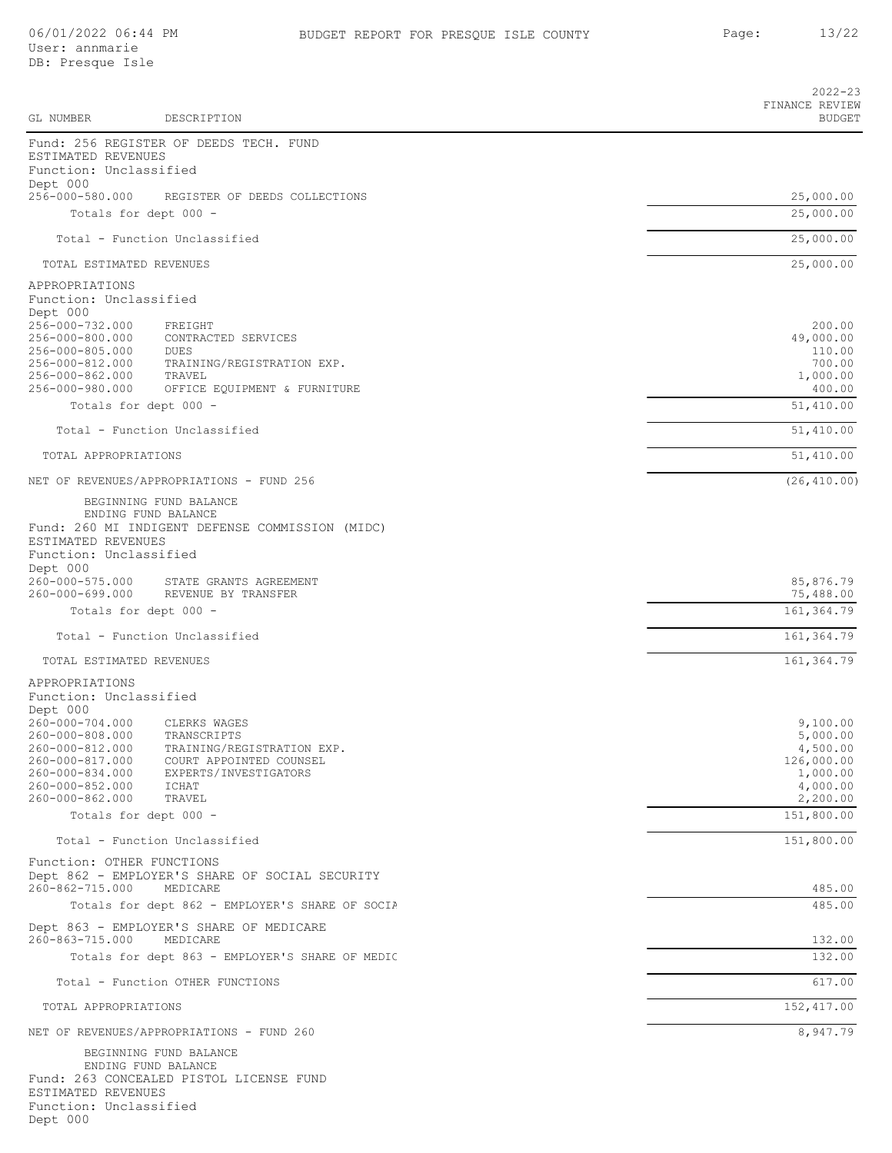Function: Unclassified

Dept 000

|                                                                                                                                   |                                                                                                                                  | $2022 - 23$                                                                        |
|-----------------------------------------------------------------------------------------------------------------------------------|----------------------------------------------------------------------------------------------------------------------------------|------------------------------------------------------------------------------------|
| GL NUMBER                                                                                                                         | DESCRIPTION                                                                                                                      | FINANCE REVIEW<br><b>BUDGET</b>                                                    |
| ESTIMATED REVENUES<br>Function: Unclassified                                                                                      | Fund: 256 REGISTER OF DEEDS TECH. FUND                                                                                           |                                                                                    |
| Dept 000<br>256-000-580.000                                                                                                       | REGISTER OF DEEDS COLLECTIONS                                                                                                    | 25,000.00                                                                          |
| Totals for dept 000 -                                                                                                             |                                                                                                                                  | 25,000.00                                                                          |
|                                                                                                                                   | Total - Function Unclassified                                                                                                    | 25,000.00                                                                          |
| TOTAL ESTIMATED REVENUES                                                                                                          |                                                                                                                                  | 25,000.00                                                                          |
| APPROPRIATIONS<br>Function: Unclassified<br>Dept 000                                                                              |                                                                                                                                  |                                                                                    |
| 256-000-732.000<br>256-000-800.000<br>256-000-805.000<br>256-000-812.000<br>256-000-862.000<br>256-000-980.000                    | FREIGHT<br>CONTRACTED SERVICES<br>DUES<br>TRAINING/REGISTRATION EXP.<br>TRAVEL<br>OFFICE EQUIPMENT & FURNITURE                   | 200.00<br>49,000.00<br>110.00<br>700.00<br>1,000.00<br>400.00                      |
| Totals for dept 000 -                                                                                                             |                                                                                                                                  | 51,410.00                                                                          |
|                                                                                                                                   | Total - Function Unclassified                                                                                                    | 51,410.00                                                                          |
| TOTAL APPROPRIATIONS                                                                                                              |                                                                                                                                  | 51,410.00                                                                          |
|                                                                                                                                   | NET OF REVENUES/APPROPRIATIONS - FUND 256                                                                                        | (26, 410.00)                                                                       |
| ESTIMATED REVENUES<br>Function: Unclassified                                                                                      | BEGINNING FUND BALANCE<br>ENDING FUND BALANCE<br>Fund: 260 MI INDIGENT DEFENSE COMMISSION (MIDC)                                 |                                                                                    |
| Dept 000<br>260-000-575.000                                                                                                       | STATE GRANTS AGREEMENT                                                                                                           | 85,876.79                                                                          |
| 260-000-699.000<br>Totals for dept 000 -                                                                                          | REVENUE BY TRANSFER                                                                                                              | 75,488.00<br>161, 364.79                                                           |
|                                                                                                                                   | Total - Function Unclassified                                                                                                    | 161,364.79                                                                         |
| TOTAL ESTIMATED REVENUES                                                                                                          |                                                                                                                                  | 161, 364.79                                                                        |
| APPROPRIATIONS<br>Function: Unclassified<br>Dept 000                                                                              |                                                                                                                                  |                                                                                    |
| 260-000-704.000<br>260-000-808.000<br>260-000-812.000<br>260-000-817.000<br>260-000-834.000<br>260-000-852.000<br>260-000-862.000 | CLERKS WAGES<br>TRANSCRIPTS<br>TRAINING/REGISTRATION EXP.<br>COURT APPOINTED COUNSEL<br>EXPERTS/INVESTIGATORS<br>ICHAT<br>TRAVEL | 9,100.00<br>5,000.00<br>4,500.00<br>126,000.00<br>1,000.00<br>4,000.00<br>2,200.00 |
| Totals for dept 000 -                                                                                                             |                                                                                                                                  | 151,800.00                                                                         |
|                                                                                                                                   | Total - Function Unclassified                                                                                                    | 151,800.00                                                                         |
| Function: OTHER FUNCTIONS<br>260-862-715.000                                                                                      | Dept 862 - EMPLOYER'S SHARE OF SOCIAL SECURITY<br>MEDICARE                                                                       | 485.00                                                                             |
|                                                                                                                                   | Totals for dept 862 - EMPLOYER'S SHARE OF SOCIA                                                                                  | 485.00                                                                             |
| 260-863-715.000                                                                                                                   | Dept 863 - EMPLOYER'S SHARE OF MEDICARE<br>MEDICARE                                                                              | 132.00                                                                             |
|                                                                                                                                   | Totals for dept 863 - EMPLOYER'S SHARE OF MEDIC                                                                                  | 132.00                                                                             |
|                                                                                                                                   | Total - Function OTHER FUNCTIONS                                                                                                 | 617.00                                                                             |
| TOTAL APPROPRIATIONS                                                                                                              |                                                                                                                                  | 152, 417.00                                                                        |
|                                                                                                                                   | NET OF REVENUES/APPROPRIATIONS - FUND 260                                                                                        | 8,947.79                                                                           |
| ESTIMATED REVENUES                                                                                                                | BEGINNING FUND BALANCE<br>ENDING FUND BALANCE<br>Fund: 263 CONCEALED PISTOL LICENSE FUND                                         |                                                                                    |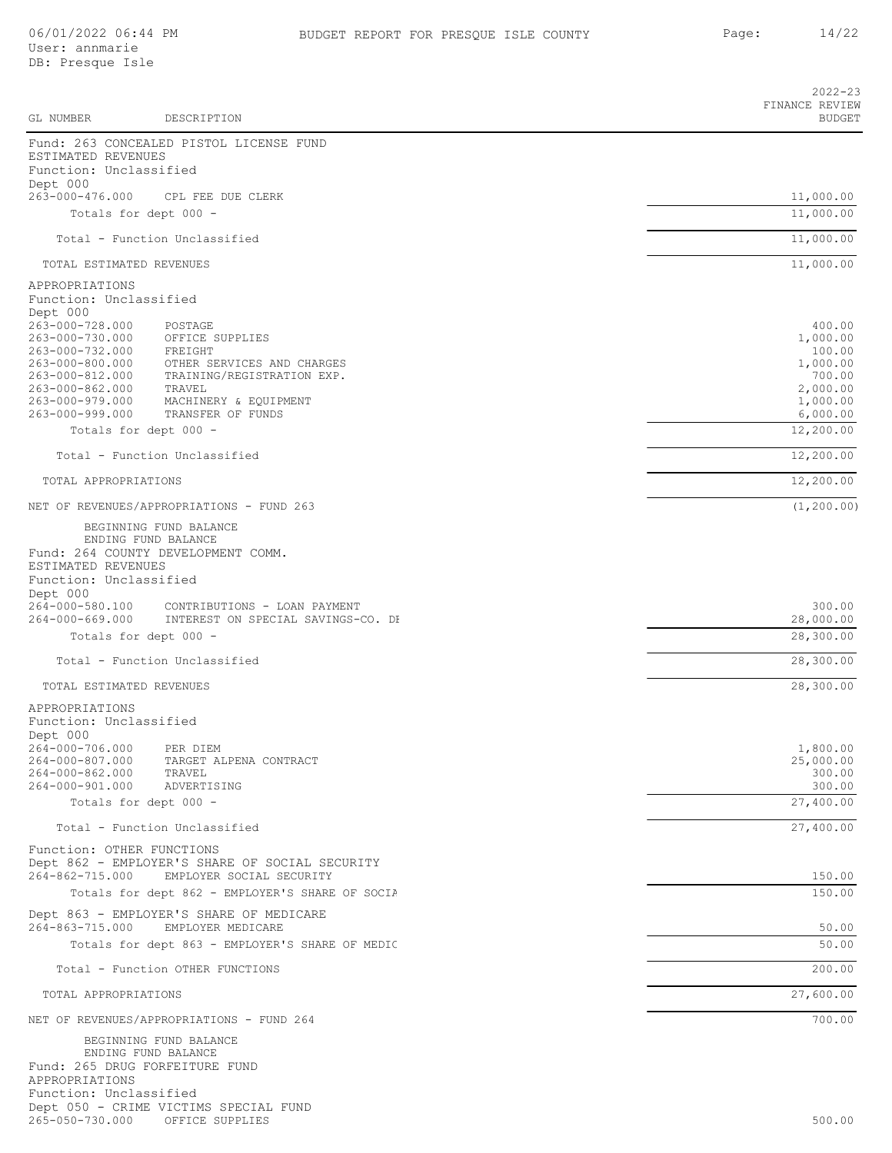|                                                                            | DESCRIPTION                                                                | $2022 - 23$<br>FINANCE REVIEW<br><b>BUDGET</b> |
|----------------------------------------------------------------------------|----------------------------------------------------------------------------|------------------------------------------------|
| GL NUMBER                                                                  |                                                                            |                                                |
| ESTIMATED REVENUES<br>Function: Unclassified                               | Fund: 263 CONCEALED PISTOL LICENSE FUND                                    |                                                |
| Dept 000<br>263-000-476.000                                                | CPL FEE DUE CLERK                                                          | 11,000.00                                      |
| Totals for dept 000 -                                                      |                                                                            | 11,000.00                                      |
|                                                                            | Total - Function Unclassified                                              | 11,000.00                                      |
|                                                                            |                                                                            |                                                |
| TOTAL ESTIMATED REVENUES                                                   |                                                                            | 11,000.00                                      |
| APPROPRIATIONS<br>Function: Unclassified                                   |                                                                            |                                                |
| Dept 000<br>263-000-728.000                                                | POSTAGE                                                                    | 400.00                                         |
| 263-000-730.000                                                            | OFFICE SUPPLIES                                                            | 1,000.00                                       |
| 263-000-732.000<br>263-000-800.000                                         | FREIGHT<br>OTHER SERVICES AND CHARGES                                      | 100.00<br>1,000.00                             |
| 263-000-812.000                                                            | TRAINING/REGISTRATION EXP.                                                 | 700.00                                         |
| 263-000-862.000<br>263-000-979.000                                         | TRAVEL<br>MACHINERY & EQUIPMENT                                            | 2,000.00<br>1,000.00                           |
| 263-000-999.000                                                            | TRANSFER OF FUNDS                                                          | 6,000.00                                       |
| Totals for dept 000 -                                                      |                                                                            | 12,200.00                                      |
|                                                                            | Total - Function Unclassified                                              | 12,200.00                                      |
| TOTAL APPROPRIATIONS                                                       |                                                                            | 12,200.00                                      |
|                                                                            | NET OF REVENUES/APPROPRIATIONS - FUND 263                                  | (1, 200.00)                                    |
|                                                                            | BEGINNING FUND BALANCE                                                     |                                                |
| ESTIMATED REVENUES<br>Function: Unclassified                               | ENDING FUND BALANCE<br>Fund: 264 COUNTY DEVELOPMENT COMM.                  |                                                |
| Dept 000<br>264-000-580.100<br>264-000-669.000                             | CONTRIBUTIONS - LOAN PAYMENT<br>INTEREST ON SPECIAL SAVINGS-CO. DH         | 300.00<br>28,000.00                            |
| Totals for dept 000 -                                                      |                                                                            | 28,300.00                                      |
|                                                                            | Total - Function Unclassified                                              | 28,300.00                                      |
| TOTAL ESTIMATED REVENUES                                                   |                                                                            | 28,300.00                                      |
| APPROPRIATIONS<br>Function: Unclassified<br>Dept 000                       |                                                                            |                                                |
| 264-000-706.000                                                            | PER DIEM                                                                   | 1,800.00                                       |
| 264-000-807.000<br>264-000-862.000                                         | TARGET ALPENA CONTRACT<br>TRAVEL                                           | 25,000.00<br>300.00                            |
| 264-000-901.000                                                            | ADVERTISING                                                                | 300.00                                         |
| Totals for dept 000 -                                                      |                                                                            | 27,400.00                                      |
|                                                                            | Total - Function Unclassified                                              | 27,400.00                                      |
| Function: OTHER FUNCTIONS<br>264-862-715.000                               | Dept 862 - EMPLOYER'S SHARE OF SOCIAL SECURITY<br>EMPLOYER SOCIAL SECURITY | 150.00                                         |
|                                                                            | Totals for dept 862 - EMPLOYER'S SHARE OF SOCIA                            | 150.00                                         |
| 264-863-715.000                                                            | Dept 863 - EMPLOYER'S SHARE OF MEDICARE<br>EMPLOYER MEDICARE               | 50.00                                          |
|                                                                            | Totals for dept 863 - EMPLOYER'S SHARE OF MEDIC                            | 50.00                                          |
|                                                                            | Total - Function OTHER FUNCTIONS                                           | 200.00                                         |
| TOTAL APPROPRIATIONS                                                       |                                                                            | 27,600.00                                      |
|                                                                            | NET OF REVENUES/APPROPRIATIONS - FUND 264                                  | 700.00                                         |
| Fund: 265 DRUG FORFEITURE FUND<br>APPROPRIATIONS<br>Function: Unclassified | BEGINNING FUND BALANCE<br>ENDING FUND BALANCE                              |                                                |

Dept 050 - CRIME VICTIMS SPECIAL FUND 265-050-730.000 OFFICE SUPPLIES 500.00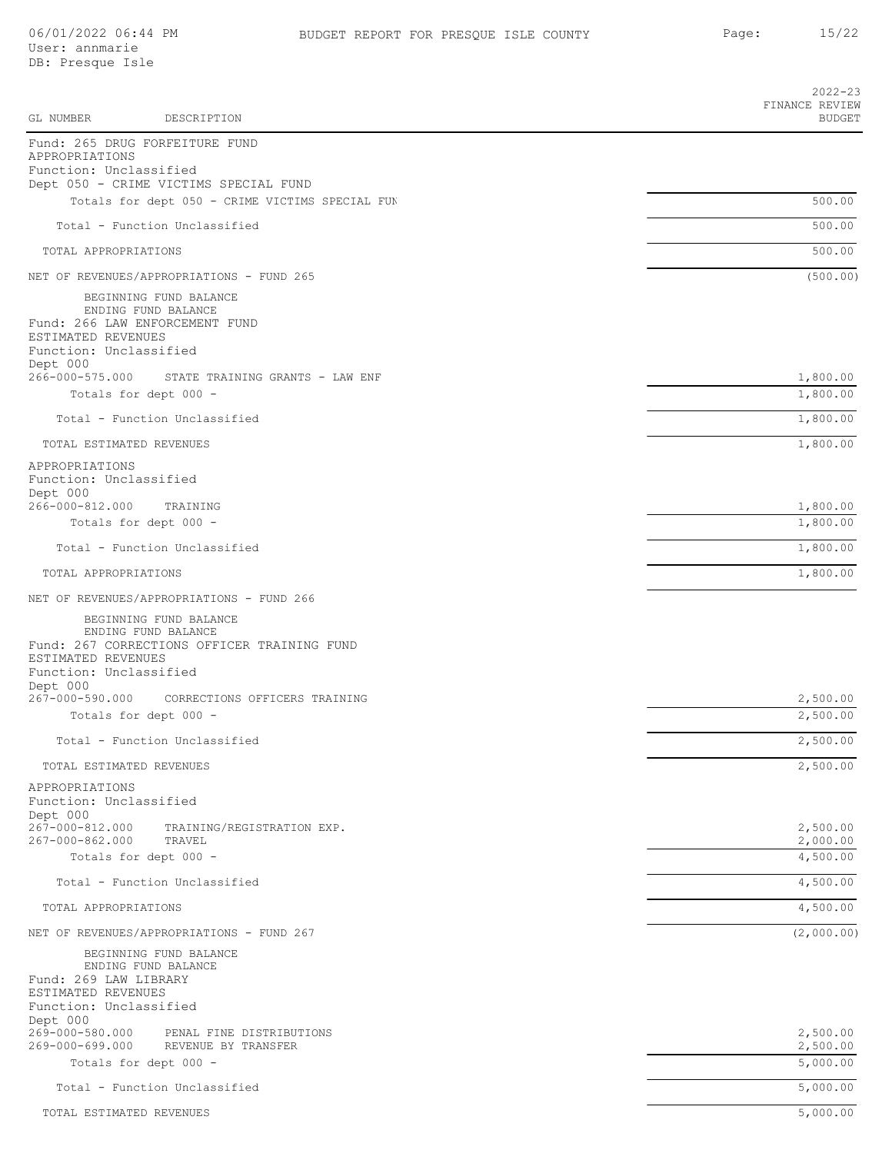User: annmarie DB: Presque Isle

| GL NUMBER<br>DESCRIPTION                                                                                                                                 | $2022 - 23$<br>FINANCE REVIEW<br><b>BUDGET</b> |
|----------------------------------------------------------------------------------------------------------------------------------------------------------|------------------------------------------------|
| Fund: 265 DRUG FORFEITURE FUND                                                                                                                           |                                                |
| APPROPRIATIONS<br>Function: Unclassified                                                                                                                 |                                                |
| Dept 050 - CRIME VICTIMS SPECIAL FUND<br>Totals for dept 050 - CRIME VICTIMS SPECIAL FUN                                                                 | 500.00                                         |
|                                                                                                                                                          |                                                |
| Total - Function Unclassified                                                                                                                            | 500.00                                         |
| TOTAL APPROPRIATIONS                                                                                                                                     | 500.00                                         |
| NET OF REVENUES/APPROPRIATIONS - FUND 265                                                                                                                | (500.00)                                       |
| BEGINNING FUND BALANCE<br>ENDING FUND BALANCE<br>Fund: 266 LAW ENFORCEMENT FUND<br>ESTIMATED REVENUES                                                    |                                                |
| Function: Unclassified                                                                                                                                   |                                                |
| Dept 000<br>266-000-575.000<br>STATE TRAINING GRANTS - LAW ENF                                                                                           | 1,800.00                                       |
| Totals for dept 000 -                                                                                                                                    | 1,800.00                                       |
| Total - Function Unclassified                                                                                                                            | 1,800.00                                       |
| TOTAL ESTIMATED REVENUES                                                                                                                                 | 1,800.00                                       |
| APPROPRIATIONS<br>Function: Unclassified                                                                                                                 |                                                |
| Dept 000<br>266-000-812.000<br>TRAINING                                                                                                                  | 1,800.00                                       |
| Totals for dept 000 -                                                                                                                                    | 1,800.00                                       |
| Total - Function Unclassified                                                                                                                            | 1,800.00                                       |
| TOTAL APPROPRIATIONS                                                                                                                                     | 1,800.00                                       |
| NET OF REVENUES/APPROPRIATIONS - FUND 266                                                                                                                |                                                |
| BEGINNING FUND BALANCE<br>ENDING FUND BALANCE<br>Fund: 267 CORRECTIONS OFFICER TRAINING FUND<br>ESTIMATED REVENUES<br>Function: Unclassified<br>Dept 000 |                                                |
| 267-000-590.000<br>CORRECTIONS OFFICERS TRAINING                                                                                                         | 2,500.00                                       |
| Totals for dept 000 -                                                                                                                                    | 2,500.00                                       |
| Total - Function Unclassified                                                                                                                            | 2,500.00                                       |
| TOTAL ESTIMATED REVENUES                                                                                                                                 | 2,500.00                                       |
| APPROPRIATIONS<br>Function: Unclassified<br>Dept 000                                                                                                     |                                                |
| 267-000-812.000<br>TRAINING/REGISTRATION EXP.<br>267-000-862.000<br>TRAVEL                                                                               | 2,500.00<br>2,000.00                           |
| Totals for dept 000 -                                                                                                                                    | 4,500.00                                       |
| Total - Function Unclassified                                                                                                                            | 4,500.00                                       |
| TOTAL APPROPRIATIONS                                                                                                                                     | 4,500.00                                       |
| NET OF REVENUES/APPROPRIATIONS - FUND 267                                                                                                                | (2,000.00)                                     |
| BEGINNING FUND BALANCE<br>ENDING FUND BALANCE<br>Fund: 269 LAW LIBRARY<br>ESTIMATED REVENUES<br>Function: Unclassified                                   |                                                |
| Dept 000<br>269-000-580.000<br>PENAL FINE DISTRIBUTIONS                                                                                                  | 2,500.00                                       |
| 269-000-699.000<br>REVENUE BY TRANSFER<br>Totals for dept 000 -                                                                                          | 2,500.00<br>5,000.00                           |
|                                                                                                                                                          |                                                |
| Total - Function Unclassified                                                                                                                            | 5,000.00                                       |
| TOTAL ESTIMATED REVENUES                                                                                                                                 | 5,000.00                                       |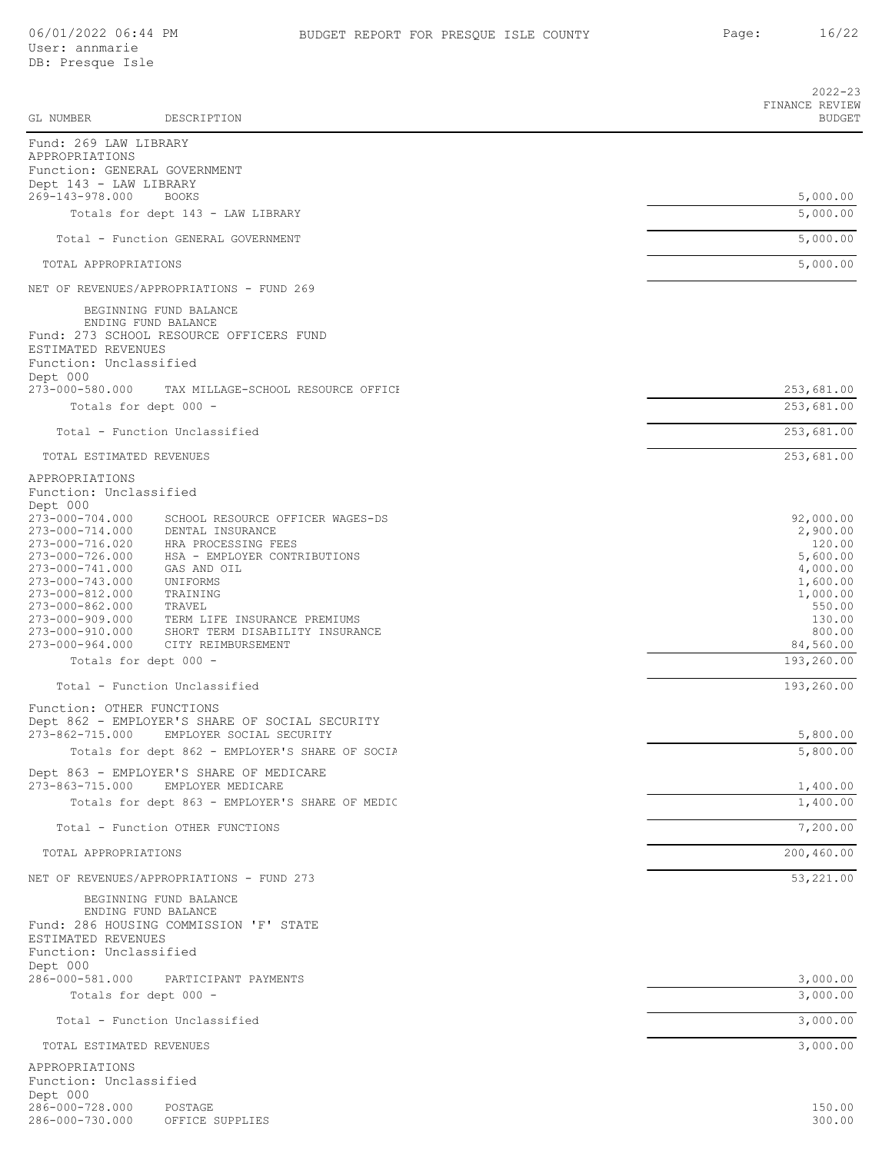|                                              |                                                                            | $2022 - 23$                     |
|----------------------------------------------|----------------------------------------------------------------------------|---------------------------------|
| GL NUMBER                                    | DESCRIPTION                                                                | FINANCE REVIEW<br><b>BUDGET</b> |
| Fund: 269 LAW LIBRARY                        |                                                                            |                                 |
| APPROPRIATIONS                               | Function: GENERAL GOVERNMENT                                               |                                 |
| Dept 143 - LAW LIBRARY                       |                                                                            |                                 |
| 269-143-978.000                              | <b>BOOKS</b>                                                               | 5,000.00                        |
|                                              | Totals for dept 143 - LAW LIBRARY                                          | 5,000.00                        |
|                                              | Total - Function GENERAL GOVERNMENT                                        | 5,000.00                        |
| TOTAL APPROPRIATIONS                         |                                                                            | 5,000.00                        |
|                                              | NET OF REVENUES/APPROPRIATIONS - FUND 269                                  |                                 |
|                                              | BEGINNING FUND BALANCE                                                     |                                 |
|                                              | ENDING FUND BALANCE                                                        |                                 |
| ESTIMATED REVENUES                           | Fund: 273 SCHOOL RESOURCE OFFICERS FUND                                    |                                 |
| Function: Unclassified                       |                                                                            |                                 |
| Dept 000<br>273-000-580.000                  | TAX MILLAGE-SCHOOL RESOURCE OFFICE                                         | 253,681.00                      |
|                                              | Totals for dept 000 -                                                      | 253,681.00                      |
|                                              | Total - Function Unclassified                                              |                                 |
|                                              |                                                                            | 253,681.00                      |
| TOTAL ESTIMATED REVENUES                     |                                                                            | 253,681.00                      |
| APPROPRIATIONS                               |                                                                            |                                 |
| Function: Unclassified<br>Dept 000           |                                                                            |                                 |
| 273-000-704.000                              | SCHOOL RESOURCE OFFICER WAGES-DS                                           | 92,000.00                       |
| 273-000-714.000<br>273-000-716.020           | DENTAL INSURANCE<br>HRA PROCESSING FEES                                    | 2,900.00<br>120.00              |
| 273-000-726.000                              | HSA - EMPLOYER CONTRIBUTIONS                                               | 5,600.00                        |
| 273-000-741.000                              | GAS AND OIL                                                                | 4,000.00                        |
| 273-000-743.000                              | UNIFORMS                                                                   | 1,600.00                        |
| 273-000-812.000<br>273-000-862.000           | TRAINING<br>TRAVEL                                                         | 1,000.00<br>550.00              |
| 273-000-909.000                              | TERM LIFE INSURANCE PREMIUMS                                               | 130.00                          |
| 273-000-910.000                              | SHORT TERM DISABILITY INSURANCE                                            | 800.00                          |
| 273-000-964.000                              | CITY REIMBURSEMENT                                                         | 84,560.00                       |
|                                              | Totals for dept 000 -                                                      | 193,260.00                      |
|                                              | Total - Function Unclassified                                              | 193,260.00                      |
| Function: OTHER FUNCTIONS                    |                                                                            |                                 |
| 273-862-715.000                              | Dept 862 - EMPLOYER'S SHARE OF SOCIAL SECURITY<br>EMPLOYER SOCIAL SECURITY | 5,800.00                        |
|                                              | Totals for dept 862 - EMPLOYER'S SHARE OF SOCIA                            | 5,800.00                        |
|                                              | Dept 863 - EMPLOYER'S SHARE OF MEDICARE                                    |                                 |
| 273-863-715.000                              | EMPLOYER MEDICARE                                                          | 1,400.00                        |
|                                              | Totals for dept 863 - EMPLOYER'S SHARE OF MEDIC                            | 1,400.00                        |
|                                              | Total - Function OTHER FUNCTIONS                                           | 7,200.00                        |
| TOTAL APPROPRIATIONS                         |                                                                            | 200,460.00                      |
|                                              | NET OF REVENUES/APPROPRIATIONS - FUND 273                                  | 53,221.00                       |
|                                              | BEGINNING FUND BALANCE                                                     |                                 |
|                                              | ENDING FUND BALANCE                                                        |                                 |
|                                              | Fund: 286 HOUSING COMMISSION 'F' STATE                                     |                                 |
| ESTIMATED REVENUES<br>Function: Unclassified |                                                                            |                                 |
| Dept 000                                     |                                                                            |                                 |
| 286-000-581.000                              | PARTICIPANT PAYMENTS                                                       | 3,000.00                        |
|                                              | Totals for dept 000 -                                                      | 3,000.00                        |
|                                              | Total - Function Unclassified                                              | 3,000.00                        |
| TOTAL ESTIMATED REVENUES                     |                                                                            | 3,000.00                        |
| APPROPRIATIONS                               |                                                                            |                                 |
| Function: Unclassified                       |                                                                            |                                 |
| Dept 000                                     |                                                                            |                                 |
| 286-000-728.000                              | POSTAGE                                                                    | 150.00                          |
| 286-000-730.000                              | OFFICE SUPPLIES                                                            | 300.00                          |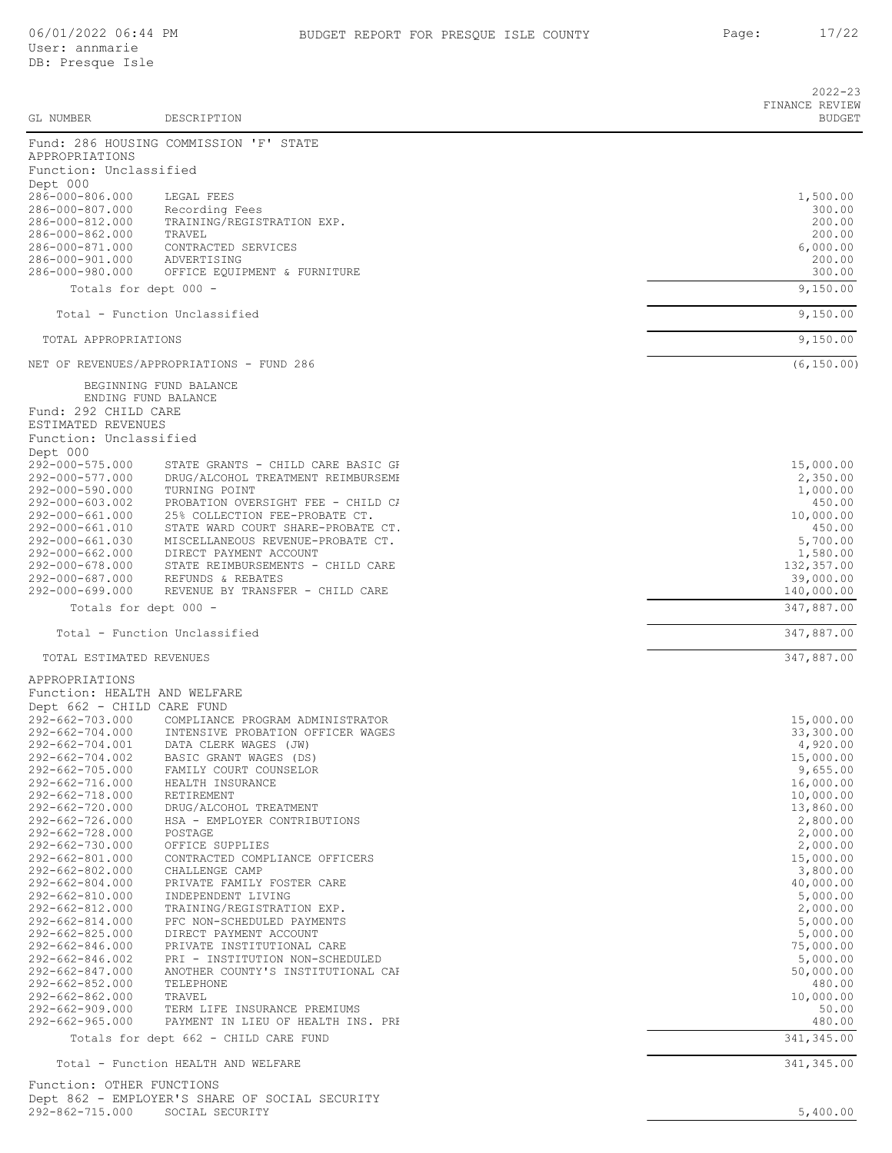|                                                            |                                                                      | $2022 - 23$<br>FINANCE REVIEW |
|------------------------------------------------------------|----------------------------------------------------------------------|-------------------------------|
| GL NUMBER                                                  | DESCRIPTION                                                          | <b>BUDGET</b>                 |
| APPROPRIATIONS                                             | Fund: 286 HOUSING COMMISSION 'F' STATE                               |                               |
| Function: Unclassified                                     |                                                                      |                               |
| Dept 000<br>286-000-806.000                                | LEGAL FEES                                                           | 1,500.00                      |
| 286-000-807.000                                            | Recording Fees                                                       | 300.00                        |
| 286-000-812.000                                            | TRAINING/REGISTRATION EXP.                                           | 200.00                        |
| 286-000-862.000<br>286-000-871.000                         | TRAVEL<br>CONTRACTED SERVICES                                        | 200.00<br>6,000.00            |
| 286-000-901.000                                            | ADVERTISING                                                          | 200.00                        |
| 286-000-980.000                                            | OFFICE EQUIPMENT & FURNITURE                                         | 300.00                        |
| Totals for dept 000 -                                      |                                                                      | 9,150.00                      |
|                                                            | Total - Function Unclassified                                        | 9,150.00                      |
| TOTAL APPROPRIATIONS                                       |                                                                      | 9,150.00                      |
|                                                            | NET OF REVENUES/APPROPRIATIONS - FUND 286                            | (6, 150.00)                   |
|                                                            | BEGINNING FUND BALANCE<br>ENDING FUND BALANCE                        |                               |
| Fund: 292 CHILD CARE                                       |                                                                      |                               |
| ESTIMATED REVENUES                                         |                                                                      |                               |
| Function: Unclassified                                     |                                                                      |                               |
| Dept 000<br>292-000-575.000                                | STATE GRANTS - CHILD CARE BASIC GP                                   | 15,000.00                     |
| 292-000-577.000                                            | DRUG/ALCOHOL TREATMENT REIMBURSEME                                   | 2,350.00                      |
| 292-000-590.000                                            | TURNING POINT                                                        | 1,000.00                      |
| 292-000-603.002<br>292-000-661.000                         | PROBATION OVERSIGHT FEE - CHILD CA<br>25% COLLECTION FEE-PROBATE CT. | 450.00<br>10,000.00           |
| 292-000-661.010                                            | STATE WARD COURT SHARE-PROBATE CT.                                   | 450.00                        |
| 292-000-661.030<br>292-000-662.000                         | MISCELLANEOUS REVENUE-PROBATE CT.<br>DIRECT PAYMENT ACCOUNT          | 5,700.00<br>1,580.00          |
| 292-000-678.000                                            | STATE REIMBURSEMENTS - CHILD CARE                                    | 132,357.00                    |
| 292-000-687.000                                            | REFUNDS & REBATES                                                    | 39,000.00                     |
| 292-000-699.000<br>Totals for dept 000 -                   | REVENUE BY TRANSFER - CHILD CARE                                     | 140,000.00<br>347,887.00      |
|                                                            |                                                                      |                               |
|                                                            | Total - Function Unclassified                                        | 347,887.00                    |
| TOTAL ESTIMATED REVENUES                                   |                                                                      | 347,887.00                    |
| APPROPRIATIONS                                             |                                                                      |                               |
| Function: HEALTH AND WELFARE<br>Dept 662 - CHILD CARE FUND |                                                                      |                               |
| 292-662-703.000                                            | COMPLIANCE PROGRAM ADMINISTRATOR                                     | 15,000.00                     |
| 292-662-704.000                                            | INTENSIVE PROBATION OFFICER WAGES                                    | 33,300.00                     |
| 292-662-704.001<br>292-662-704.002                         | DATA CLERK WAGES (JW)<br>BASIC GRANT WAGES (DS)                      | 4,920.00<br>15,000.00         |
| 292-662-705.000                                            | FAMILY COURT COUNSELOR                                               | 9,655.00                      |
| 292-662-716.000                                            | HEALTH INSURANCE                                                     | 16,000.00                     |
| 292-662-718.000<br>292-662-720.000                         | RETIREMENT<br>DRUG/ALCOHOL TREATMENT                                 | 10,000.00<br>13,860.00        |
| 292-662-726.000                                            | HSA - EMPLOYER CONTRIBUTIONS                                         | 2,800.00                      |
| 292-662-728.000<br>292-662-730.000                         | POSTAGE<br>OFFICE SUPPLIES                                           | 2,000.00<br>2,000.00          |
| 292-662-801.000                                            | CONTRACTED COMPLIANCE OFFICERS                                       | 15,000.00                     |
| 292-662-802.000                                            | CHALLENGE CAMP                                                       | 3,800.00                      |
| 292-662-804.000<br>292-662-810.000                         | PRIVATE FAMILY FOSTER CARE<br>INDEPENDENT LIVING                     | 40,000.00<br>5,000.00         |
| 292-662-812.000                                            | TRAINING/REGISTRATION EXP.                                           | 2,000.00                      |
| 292-662-814.000                                            | PFC NON-SCHEDULED PAYMENTS                                           | 5,000.00                      |
| 292-662-825.000<br>292-662-846.000                         | DIRECT PAYMENT ACCOUNT<br>PRIVATE INSTITUTIONAL CARE                 | 5,000.00<br>75,000.00         |
| 292-662-846.002                                            | PRI - INSTITUTION NON-SCHEDULED                                      | 5,000.00                      |
| 292-662-847.000                                            | ANOTHER COUNTY'S INSTITUTIONAL CAP                                   | 50,000.00                     |
| 292-662-852.000<br>292-662-862.000                         | TELEPHONE<br>TRAVEL                                                  | 480.00<br>10,000.00           |
| 292-662-909.000                                            | TERM LIFE INSURANCE PREMIUMS                                         | 50.00                         |
| 292-662-965.000                                            | PAYMENT IN LIEU OF HEALTH INS. PRI                                   | 480.00                        |
|                                                            | Totals for dept 662 - CHILD CARE FUND                                | 341, 345.00                   |
|                                                            | Total - Function HEALTH AND WELFARE                                  | 341,345.00                    |
| Function: OTHER FUNCTIONS                                  |                                                                      |                               |

Dept 862 - EMPLOYER'S SHARE OF SOCIAL SECURITY 292-862-715.000 SOCIAL SECURITY 5,400.00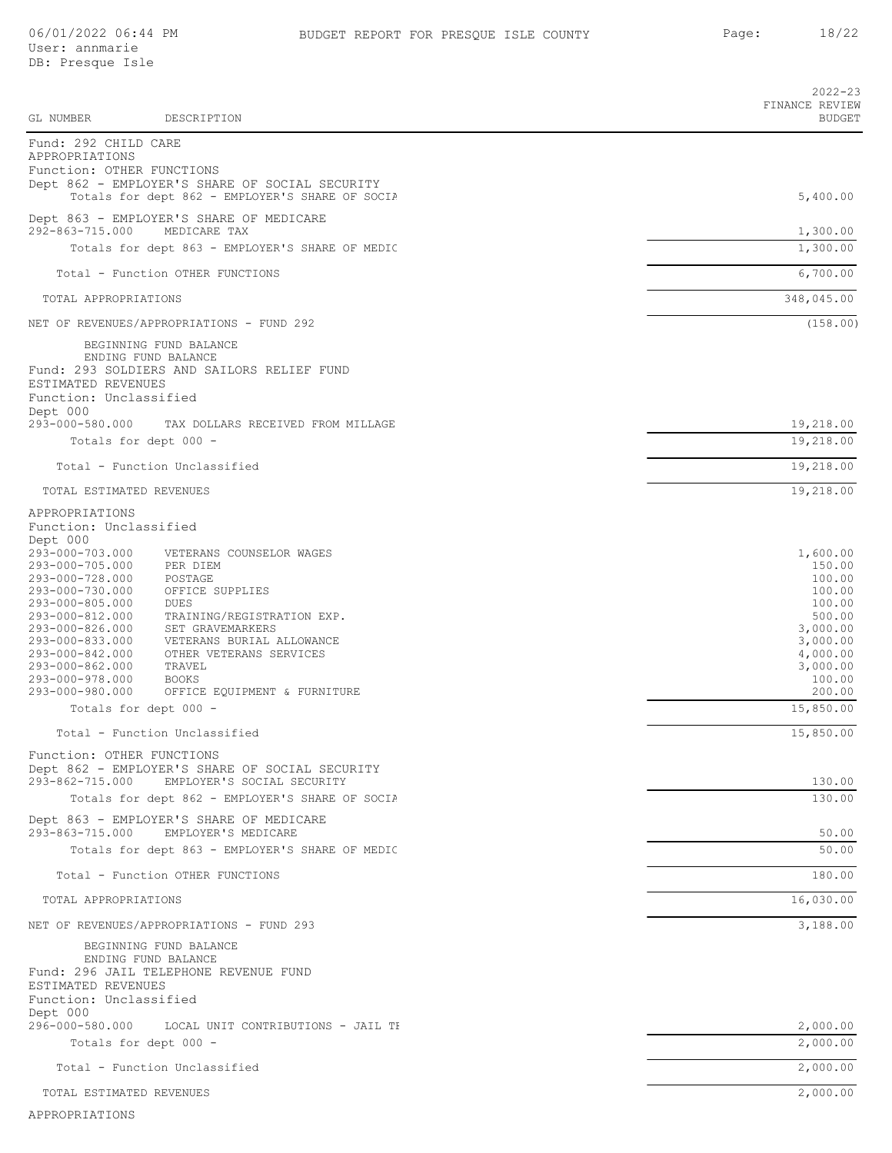| GL NUMBER                                    | DESCRIPTION                                                                   | $2022 - 23$<br>FINANCE REVIEW<br><b>BUDGET</b> |
|----------------------------------------------|-------------------------------------------------------------------------------|------------------------------------------------|
| Fund: 292 CHILD CARE                         |                                                                               |                                                |
| APPROPRIATIONS                               |                                                                               |                                                |
| Function: OTHER FUNCTIONS                    | Dept 862 - EMPLOYER'S SHARE OF SOCIAL SECURITY                                |                                                |
|                                              | Totals for dept 862 - EMPLOYER'S SHARE OF SOCIA                               | 5,400.00                                       |
| 292-863-715.000                              | Dept 863 - EMPLOYER'S SHARE OF MEDICARE<br>MEDICARE TAX                       | 1,300.00                                       |
|                                              | Totals for dept 863 - EMPLOYER'S SHARE OF MEDIC                               | 1,300.00                                       |
|                                              | Total - Function OTHER FUNCTIONS                                              | 6,700.00                                       |
| TOTAL APPROPRIATIONS                         |                                                                               | 348,045.00                                     |
|                                              | NET OF REVENUES/APPROPRIATIONS - FUND 292                                     | (158.00)                                       |
|                                              | BEGINNING FUND BALANCE                                                        |                                                |
|                                              | ENDING FUND BALANCE                                                           |                                                |
| ESTIMATED REVENUES                           | Fund: 293 SOLDIERS AND SAILORS RELIEF FUND                                    |                                                |
| Function: Unclassified<br>Dept 000           |                                                                               |                                                |
| 293-000-580.000                              | TAX DOLLARS RECEIVED FROM MILLAGE                                             | 19,218.00                                      |
|                                              | Totals for dept 000 -                                                         | 19,218.00                                      |
|                                              | Total - Function Unclassified                                                 | 19,218.00                                      |
| TOTAL ESTIMATED REVENUES                     |                                                                               | 19,218.00                                      |
| APPROPRIATIONS                               |                                                                               |                                                |
| Function: Unclassified<br>Dept 000           |                                                                               |                                                |
| 293-000-703.000<br>293-000-705.000           | VETERANS COUNSELOR WAGES<br>PER DIEM                                          | 1,600.00<br>150.00                             |
| 293-000-728.000                              | POSTAGE                                                                       | 100.00                                         |
| 293-000-730.000<br>293-000-805.000           | OFFICE SUPPLIES<br>DUES                                                       | 100.00<br>100.00                               |
| 293-000-812.000<br>293-000-826.000           | TRAINING/REGISTRATION EXP.<br>SET GRAVEMARKERS                                | 500.00<br>3,000.00                             |
| 293-000-833.000                              | VETERANS BURIAL ALLOWANCE                                                     | 3,000.00                                       |
| 293-000-842.000<br>293-000-862.000           | OTHER VETERANS SERVICES<br>TRAVEL                                             | 4,000.00<br>3,000.00                           |
| 293-000-978.000<br>293-000-980.000           | <b>BOOKS</b><br>OFFICE EQUIPMENT & FURNITURE                                  | 100.00<br>200.00                               |
| Totals for dept 000 -                        |                                                                               | 15,850.00                                      |
|                                              | Total - Function Unclassified                                                 | 15,850.00                                      |
| Function: OTHER FUNCTIONS                    |                                                                               |                                                |
|                                              | Dept 862 - EMPLOYER'S SHARE OF SOCIAL SECURITY                                |                                                |
| 293-862-715.000                              | EMPLOYER'S SOCIAL SECURITY<br>Totals for dept 862 - EMPLOYER'S SHARE OF SOCIA | 130.00<br>130.00                               |
|                                              | Dept 863 - EMPLOYER'S SHARE OF MEDICARE                                       |                                                |
| 293-863-715.000                              | EMPLOYER'S MEDICARE                                                           | 50.00                                          |
|                                              | Totals for dept 863 - EMPLOYER'S SHARE OF MEDIC                               | 50.00                                          |
|                                              | Total - Function OTHER FUNCTIONS                                              | 180.00                                         |
| TOTAL APPROPRIATIONS                         |                                                                               | 16,030.00                                      |
|                                              | NET OF REVENUES/APPROPRIATIONS - FUND 293                                     | 3,188.00                                       |
|                                              | BEGINNING FUND BALANCE<br>ENDING FUND BALANCE                                 |                                                |
|                                              | Fund: 296 JAIL TELEPHONE REVENUE FUND                                         |                                                |
| ESTIMATED REVENUES<br>Function: Unclassified |                                                                               |                                                |
| Dept 000<br>296-000-580.000                  | LOCAL UNIT CONTRIBUTIONS - JAIL TH                                            | 2,000.00                                       |
|                                              | Totals for dept 000 -                                                         | 2,000.00                                       |
|                                              | Total - Function Unclassified                                                 | 2,000.00                                       |
| TOTAL ESTIMATED REVENUES                     |                                                                               | 2,000.00                                       |
| APPROPRIATIONS                               |                                                                               |                                                |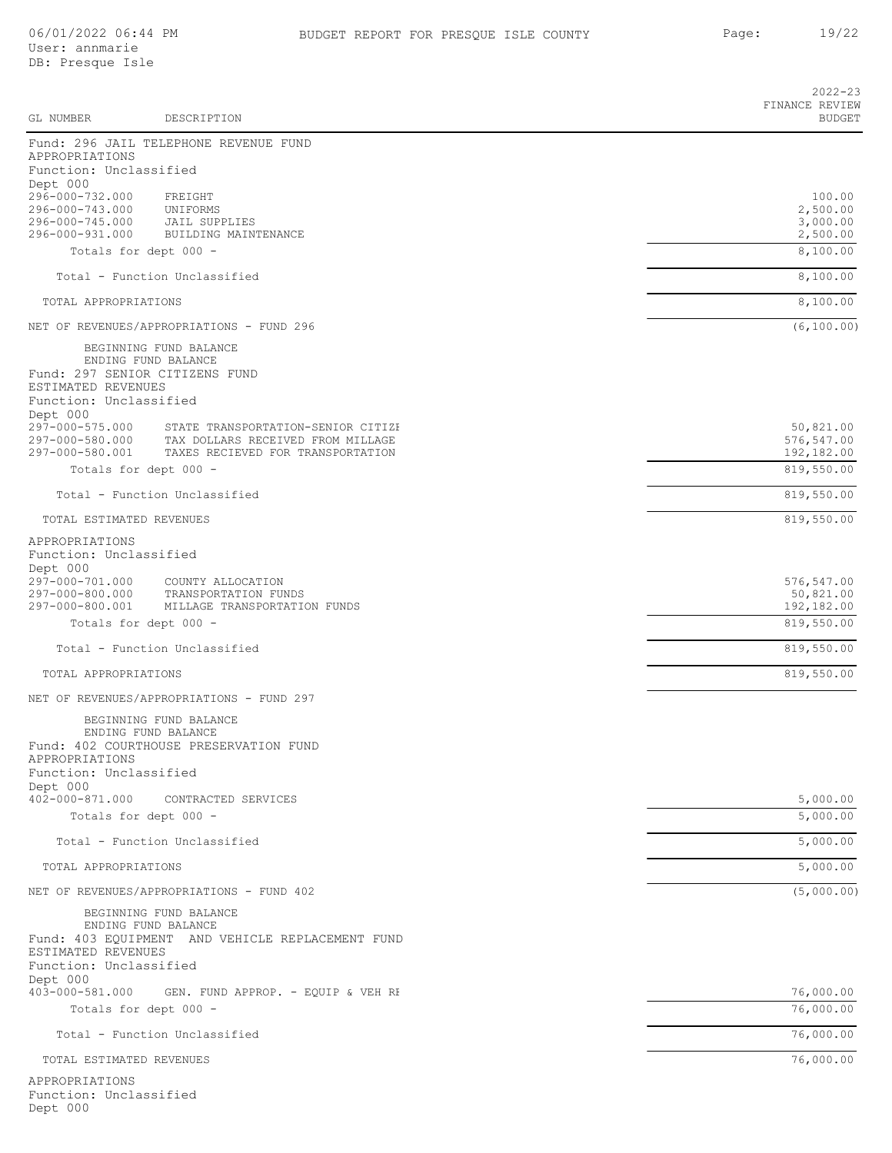Dept 000

|                                                      |                                                                         | $2022 - 23$<br>FINANCE REVIEW |
|------------------------------------------------------|-------------------------------------------------------------------------|-------------------------------|
| GL NUMBER                                            | DESCRIPTION                                                             | <b>BUDGET</b>                 |
|                                                      | Fund: 296 JAIL TELEPHONE REVENUE FUND                                   |                               |
| APPROPRIATIONS<br>Function: Unclassified<br>Dept 000 |                                                                         |                               |
| 296-000-732.000                                      | FREIGHT                                                                 | 100.00                        |
| 296-000-743.000<br>296-000-745.000                   | UNIFORMS<br><b>JAIL SUPPLIES</b>                                        | 2,500.00<br>3,000.00          |
| 296-000-931.000                                      | BUILDING MAINTENANCE                                                    | 2,500.00                      |
|                                                      | Totals for dept 000 -                                                   | 8,100.00                      |
|                                                      | Total - Function Unclassified                                           | 8,100.00                      |
| TOTAL APPROPRIATIONS                                 |                                                                         | 8,100.00                      |
|                                                      | NET OF REVENUES/APPROPRIATIONS - FUND 296                               | (6, 100.00)                   |
|                                                      | BEGINNING FUND BALANCE<br>ENDING FUND BALANCE                           |                               |
|                                                      | Fund: 297 SENIOR CITIZENS FUND                                          |                               |
| ESTIMATED REVENUES<br>Function: Unclassified         |                                                                         |                               |
| Dept 000                                             |                                                                         |                               |
| 297-000-575.000<br>297-000-580.000                   | STATE TRANSPORTATION-SENIOR CITIZE<br>TAX DOLLARS RECEIVED FROM MILLAGE | 50,821.00<br>576,547.00       |
| 297-000-580.001                                      | TAXES RECIEVED FOR TRANSPORTATION                                       | 192,182.00                    |
|                                                      | Totals for dept 000 -                                                   | 819,550.00                    |
|                                                      | Total - Function Unclassified                                           | 819,550.00                    |
| TOTAL ESTIMATED REVENUES                             |                                                                         | 819,550.00                    |
| APPROPRIATIONS<br>Function: Unclassified             |                                                                         |                               |
| Dept 000                                             |                                                                         |                               |
| 297-000-701.000<br>297-000-800.000                   | COUNTY ALLOCATION<br>TRANSPORTATION FUNDS                               | 576,547.00<br>50,821.00       |
| 297-000-800.001                                      | MILLAGE TRANSPORTATION FUNDS                                            | 192,182.00                    |
|                                                      | Totals for dept 000 -                                                   | 819,550.00                    |
|                                                      | Total - Function Unclassified                                           | 819,550.00                    |
| TOTAL APPROPRIATIONS                                 |                                                                         | 819,550.00                    |
|                                                      | NET OF REVENUES/APPROPRIATIONS - FUND 297                               |                               |
|                                                      | BEGINNING FUND BALANCE<br>ENDING FUND BALANCE                           |                               |
|                                                      | Fund: 402 COURTHOUSE PRESERVATION FUND                                  |                               |
| APPROPRIATIONS<br>Function: Unclassified             |                                                                         |                               |
| Dept 000                                             |                                                                         |                               |
| $402 - 000 - 871.000$                                | CONTRACTED SERVICES                                                     | 5,000.00<br>5,000.00          |
|                                                      | Totals for dept 000 -                                                   |                               |
|                                                      | Total - Function Unclassified                                           | 5,000.00                      |
| TOTAL APPROPRIATIONS                                 |                                                                         | 5,000.00                      |
|                                                      | NET OF REVENUES/APPROPRIATIONS - FUND 402                               | (5,000.00)                    |
|                                                      | BEGINNING FUND BALANCE<br>ENDING FUND BALANCE                           |                               |
|                                                      | Fund: 403 EQUIPMENT AND VEHICLE REPLACEMENT FUND                        |                               |
| ESTIMATED REVENUES<br>Function: Unclassified         |                                                                         |                               |
| Dept 000                                             |                                                                         |                               |
| 403-000-581.000                                      | GEN. FUND APPROP. - EQUIP & VEH RE<br>Totals for dept 000 -             | 76,000.00<br>76,000.00        |
|                                                      |                                                                         |                               |
|                                                      | Total - Function Unclassified                                           | 76,000.00                     |
| TOTAL ESTIMATED REVENUES                             |                                                                         | 76,000.00                     |
| APPROPRIATIONS<br>Function: Unclassified             |                                                                         |                               |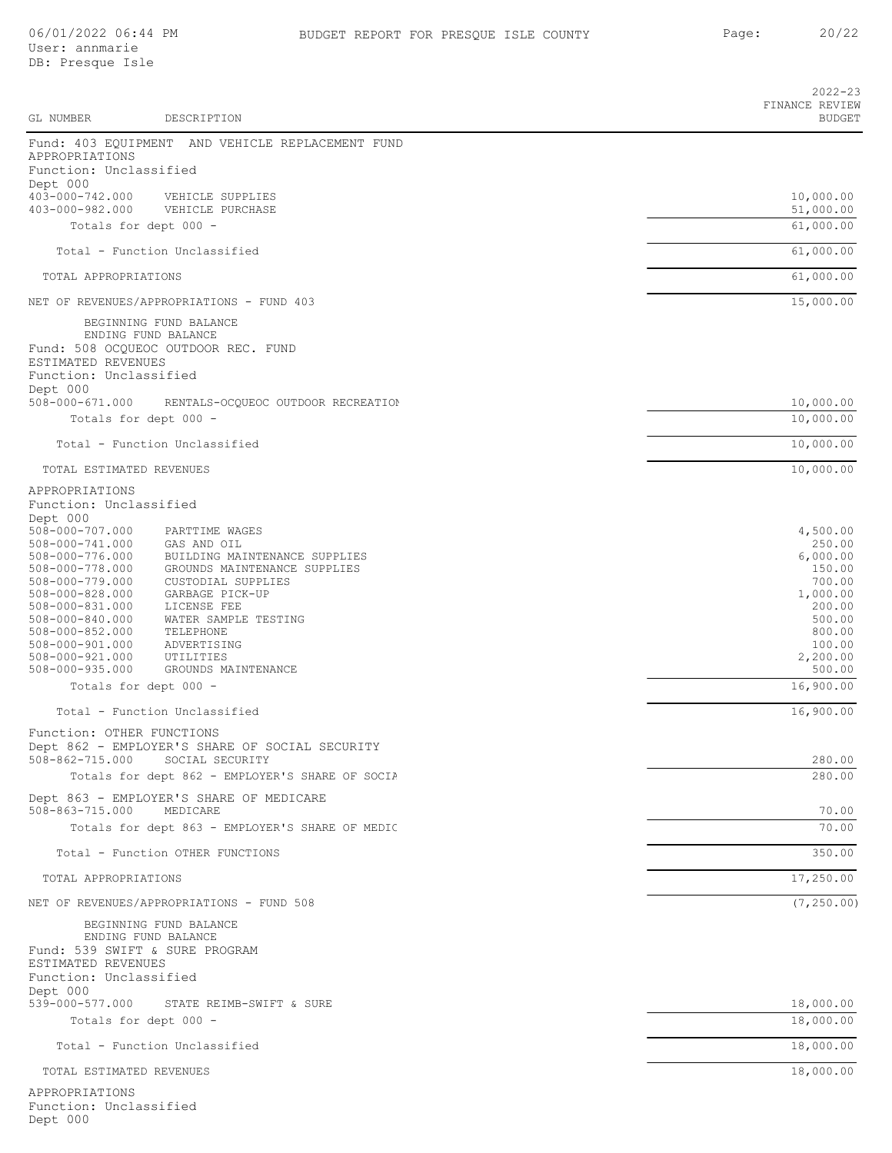|                                                                                                                                                                                                                                                                      |                                                                                                                                                                                                                                                | $2022 - 23$<br>FINANCE REVIEW                                                                                                |
|----------------------------------------------------------------------------------------------------------------------------------------------------------------------------------------------------------------------------------------------------------------------|------------------------------------------------------------------------------------------------------------------------------------------------------------------------------------------------------------------------------------------------|------------------------------------------------------------------------------------------------------------------------------|
| GL NUMBER                                                                                                                                                                                                                                                            | DESCRIPTION                                                                                                                                                                                                                                    | <b>BUDGET</b>                                                                                                                |
| APPROPRIATIONS<br>Function: Unclassified<br>Dept 000                                                                                                                                                                                                                 | Fund: 403 EQUIPMENT AND VEHICLE REPLACEMENT FUND                                                                                                                                                                                               |                                                                                                                              |
| 403-000-742.000<br>403-000-982.000                                                                                                                                                                                                                                   | VEHICLE SUPPLIES<br>VEHICLE PURCHASE                                                                                                                                                                                                           | 10,000.00<br>51,000.00                                                                                                       |
|                                                                                                                                                                                                                                                                      | Totals for dept 000 -                                                                                                                                                                                                                          | 61,000.00                                                                                                                    |
|                                                                                                                                                                                                                                                                      | Total - Function Unclassified                                                                                                                                                                                                                  | 61,000.00                                                                                                                    |
| TOTAL APPROPRIATIONS                                                                                                                                                                                                                                                 |                                                                                                                                                                                                                                                | 61,000.00                                                                                                                    |
|                                                                                                                                                                                                                                                                      | NET OF REVENUES/APPROPRIATIONS - FUND 403                                                                                                                                                                                                      | 15,000.00                                                                                                                    |
| ESTIMATED REVENUES<br>Function: Unclassified                                                                                                                                                                                                                         | BEGINNING FUND BALANCE<br>ENDING FUND BALANCE<br>Fund: 508 OCQUEOC OUTDOOR REC. FUND                                                                                                                                                           |                                                                                                                              |
| Dept 000<br>$508 - 000 - 671.000$                                                                                                                                                                                                                                    | RENTALS-OCQUEOC OUTDOOR RECREATION                                                                                                                                                                                                             | 10,000.00                                                                                                                    |
|                                                                                                                                                                                                                                                                      | Totals for dept 000 -                                                                                                                                                                                                                          | 10,000.00                                                                                                                    |
|                                                                                                                                                                                                                                                                      | Total - Function Unclassified                                                                                                                                                                                                                  | 10,000.00                                                                                                                    |
| TOTAL ESTIMATED REVENUES                                                                                                                                                                                                                                             |                                                                                                                                                                                                                                                | 10,000.00                                                                                                                    |
| APPROPRIATIONS<br>Function: Unclassified<br>Dept 000                                                                                                                                                                                                                 |                                                                                                                                                                                                                                                |                                                                                                                              |
| 508-000-707.000<br>508-000-741.000<br>508-000-776.000<br>508-000-778.000<br>508-000-779.000<br>$508 - 000 - 828.000$<br>508-000-831.000<br>$508 - 000 - 840.000$<br>$508 - 000 - 852.000$<br>$508 - 000 - 901.000$<br>$508 - 000 - 921.000$<br>$508 - 000 - 935.000$ | PARTTIME WAGES<br>GAS AND OIL<br>BUILDING MAINTENANCE SUPPLIES<br>GROUNDS MAINTENANCE SUPPLIES<br>CUSTODIAL SUPPLIES<br>GARBAGE PICK-UP<br>LICENSE FEE<br>WATER SAMPLE TESTING<br>TELEPHONE<br>ADVERTISING<br>UTILITIES<br>GROUNDS MAINTENANCE | 4,500.00<br>250.00<br>6,000.00<br>150.00<br>700.00<br>1,000.00<br>200.00<br>500.00<br>800.00<br>100.00<br>2,200.00<br>500.00 |
|                                                                                                                                                                                                                                                                      | Totals for dept 000 -                                                                                                                                                                                                                          | 16,900.00                                                                                                                    |
|                                                                                                                                                                                                                                                                      | Total - Function Unclassified                                                                                                                                                                                                                  | 16,900.00                                                                                                                    |
| Function: OTHER FUNCTIONS                                                                                                                                                                                                                                            | Dept 862 - EMPLOYER'S SHARE OF SOCIAL SECURITY                                                                                                                                                                                                 |                                                                                                                              |
| $508 - 862 - 715.000$                                                                                                                                                                                                                                                | SOCIAL SECURITY<br>Totals for dept 862 - EMPLOYER'S SHARE OF SOCIA                                                                                                                                                                             | 280.00<br>280.00                                                                                                             |
|                                                                                                                                                                                                                                                                      | Dept 863 - EMPLOYER'S SHARE OF MEDICARE                                                                                                                                                                                                        |                                                                                                                              |
| 508-863-715.000                                                                                                                                                                                                                                                      | MEDICARE                                                                                                                                                                                                                                       | 70.00                                                                                                                        |
|                                                                                                                                                                                                                                                                      | Totals for dept 863 - EMPLOYER'S SHARE OF MEDIC                                                                                                                                                                                                | 70.00                                                                                                                        |
|                                                                                                                                                                                                                                                                      | Total - Function OTHER FUNCTIONS                                                                                                                                                                                                               | 350.00                                                                                                                       |
| TOTAL APPROPRIATIONS                                                                                                                                                                                                                                                 |                                                                                                                                                                                                                                                | 17,250.00                                                                                                                    |
|                                                                                                                                                                                                                                                                      | NET OF REVENUES/APPROPRIATIONS - FUND 508                                                                                                                                                                                                      | (7, 250.00)                                                                                                                  |
| ESTIMATED REVENUES<br>Function: Unclassified<br>Dept 000                                                                                                                                                                                                             | BEGINNING FUND BALANCE<br>ENDING FUND BALANCE<br>Fund: 539 SWIFT & SURE PROGRAM                                                                                                                                                                |                                                                                                                              |
| 539-000-577.000                                                                                                                                                                                                                                                      | STATE REIMB-SWIFT & SURE<br>Totals for dept 000 -                                                                                                                                                                                              | 18,000.00<br>18,000.00                                                                                                       |
|                                                                                                                                                                                                                                                                      | Total - Function Unclassified                                                                                                                                                                                                                  | 18,000.00                                                                                                                    |
| TOTAL ESTIMATED REVENUES                                                                                                                                                                                                                                             |                                                                                                                                                                                                                                                | 18,000.00                                                                                                                    |
| APPROPRIATIONS<br>Function: Unclassified<br>Dept 000                                                                                                                                                                                                                 |                                                                                                                                                                                                                                                |                                                                                                                              |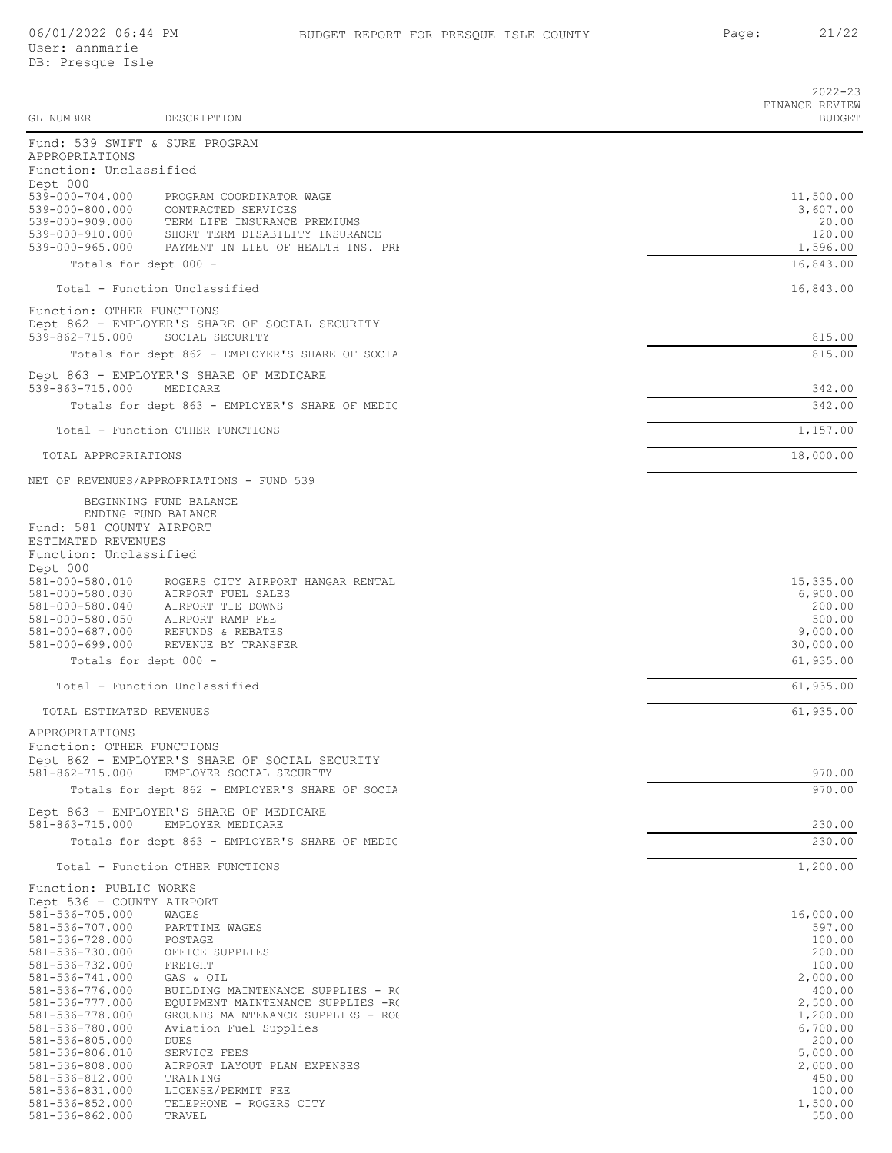|                                              |                                                                                 | $2022 - 23$<br>FINANCE REVIEW |
|----------------------------------------------|---------------------------------------------------------------------------------|-------------------------------|
| GL NUMBER                                    | DESCRIPTION                                                                     | <b>BUDGET</b>                 |
| APPROPRIATIONS                               | Fund: 539 SWIFT & SURE PROGRAM                                                  |                               |
| Function: Unclassified                       |                                                                                 |                               |
| Dept 000                                     | 539-000-704.000 PROGRAM COORDINATOR WAGE                                        | 11,500.00                     |
| 539-000-800.000                              | CONTRACTED SERVICES                                                             | 3,607.00                      |
| 539-000-910.000                              | 539-000-909.000 TERM LIFE INSURANCE PREMIUMS<br>SHORT TERM DISABILITY INSURANCE | 20.00<br>120.00               |
|                                              | 539-000-965.000 PAYMENT IN LIEU OF HEALTH INS. PRI                              | 1,596.00                      |
|                                              | Totals for dept 000 -                                                           | 16,843.00                     |
|                                              | Total - Function Unclassified                                                   | 16,843.00                     |
| Function: OTHER FUNCTIONS                    |                                                                                 |                               |
|                                              | Dept 862 - EMPLOYER'S SHARE OF SOCIAL SECURITY                                  |                               |
| 539-862-715.000                              | SOCIAL SECURITY                                                                 | 815.00                        |
|                                              | Totals for dept 862 - EMPLOYER'S SHARE OF SOCIA                                 | 815.00                        |
| 539-863-715.000                              | Dept 863 - EMPLOYER'S SHARE OF MEDICARE<br>MEDICARE                             | 342.00                        |
|                                              | Totals for dept 863 - EMPLOYER'S SHARE OF MEDIC                                 | 342.00                        |
|                                              | Total - Function OTHER FUNCTIONS                                                | 1,157.00                      |
|                                              |                                                                                 | 18,000.00                     |
| TOTAL APPROPRIATIONS                         |                                                                                 |                               |
|                                              | NET OF REVENUES/APPROPRIATIONS - FUND 539                                       |                               |
|                                              | BEGINNING FUND BALANCE<br>ENDING FUND BALANCE                                   |                               |
| Fund: 581 COUNTY AIRPORT                     |                                                                                 |                               |
| ESTIMATED REVENUES<br>Function: Unclassified |                                                                                 |                               |
| Dept 000                                     |                                                                                 |                               |
|                                              | 581-000-580.010 ROGERS CITY AIRPORT HANGAR RENTAL                               | 15,335.00                     |
|                                              | 581-000-580.030 AIRPORT FUEL SALES<br>581-000-580.040 AIRPORT TIE DOWNS         | 6,900.00<br>200.00            |
| 581-000-580.050                              | AIRPORT RAMP FEE                                                                | 500.00                        |
| 581-000-699.000                              | 581-000-687.000 REFUNDS & REBATES<br>REVENUE BY TRANSFER                        | 9,000.00<br>30,000.00         |
|                                              | Totals for dept 000 -                                                           | 61,935.00                     |
|                                              | Total - Function Unclassified                                                   | 61,935.00                     |
| TOTAL ESTIMATED REVENUES                     |                                                                                 | 61,935.00                     |
| APPROPRIATIONS                               |                                                                                 |                               |
| Function: OTHER FUNCTIONS                    |                                                                                 |                               |
|                                              | Dept 862 - EMPLOYER'S SHARE OF SOCIAL SECURITY                                  |                               |
| 581-862-715.000                              | EMPLOYER SOCIAL SECURITY                                                        | 970.00                        |
|                                              | Totals for dept 862 - EMPLOYER'S SHARE OF SOCIA                                 | 970.00                        |
| 581-863-715.000                              | Dept 863 - EMPLOYER'S SHARE OF MEDICARE<br>EMPLOYER MEDICARE                    | 230.00                        |
|                                              | Totals for dept 863 - EMPLOYER'S SHARE OF MEDIC                                 | 230.00                        |
|                                              | Total - Function OTHER FUNCTIONS                                                | 1,200.00                      |
| Function: PUBLIC WORKS                       |                                                                                 |                               |
| Dept 536 - COUNTY AIRPORT<br>581-536-705.000 |                                                                                 | 16,000.00                     |
| 581-536-707.000                              | WAGES<br>PARTTIME WAGES                                                         | 597.00                        |
| 581-536-728.000                              | POSTAGE                                                                         | 100.00                        |
| 581-536-730.000<br>581-536-732.000           | OFFICE SUPPLIES<br>FREIGHT                                                      | 200.00<br>100.00              |
| 581-536-741.000                              | GAS & OIL                                                                       | 2,000.00                      |
| 581-536-776.000                              | BUILDING MAINTENANCE SUPPLIES - RO                                              | 400.00                        |
| 581-536-777.000<br>581-536-778.000           | EQUIPMENT MAINTENANCE SUPPLIES -RO<br>GROUNDS MAINTENANCE SUPPLIES - ROO        | 2,500.00<br>1,200.00          |
| 581-536-780.000                              | Aviation Fuel Supplies                                                          | 6,700.00                      |
| 581-536-805.000                              | DUES                                                                            | 200.00                        |
| 581-536-806.010<br>581-536-808.000           | SERVICE FEES<br>AIRPORT LAYOUT PLAN EXPENSES                                    | 5,000.00<br>2,000.00          |
| 581-536-812.000                              | TRAINING                                                                        | 450.00                        |
| 581-536-831.000                              | LICENSE/PERMIT FEE                                                              | 100.00                        |
| 581-536-852.000<br>581-536-862.000           | TELEPHONE - ROGERS CITY<br>TRAVEL                                               | 1,500.00<br>550.00            |
|                                              |                                                                                 |                               |